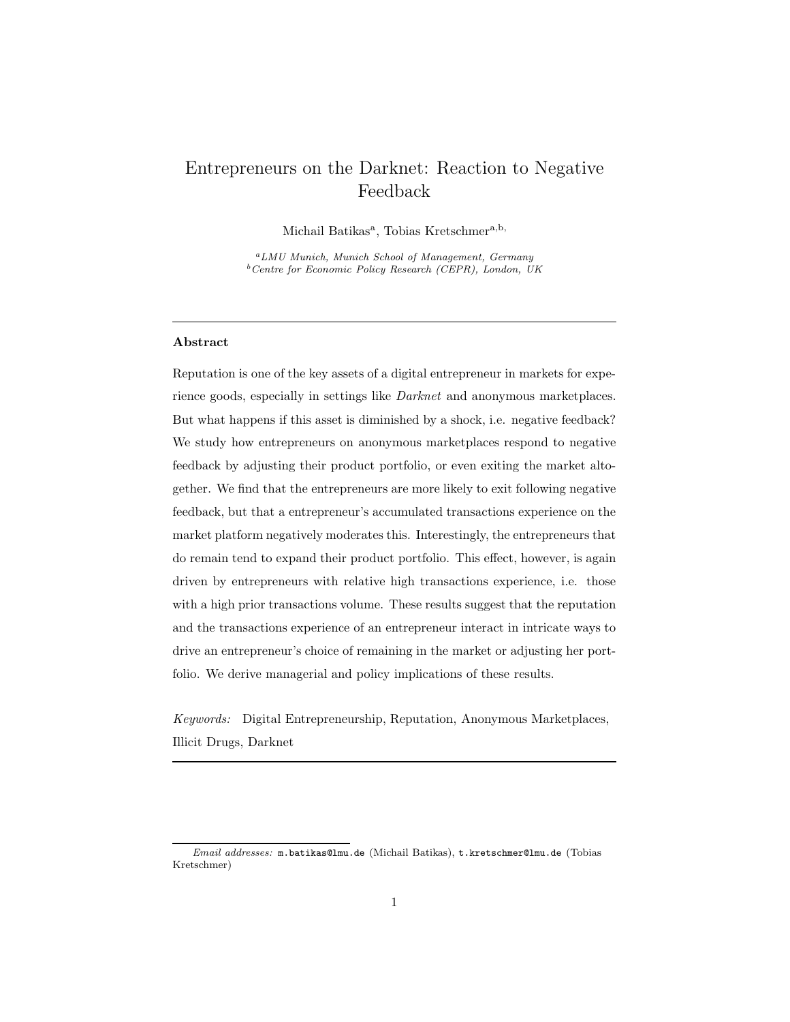# Entrepreneurs on the Darknet: Reaction to Negative Feedback

Michail Batikas<sup>a</sup>, Tobias Kretschmer<sup>a,b,</sup>

<sup>a</sup>LMU Munich, Munich School of Management, Germany  $b$ <sup>b</sup>Centre for Economic Policy Research (CEPR), London, UK

### Abstract

Reputation is one of the key assets of a digital entrepreneur in markets for experience goods, especially in settings like *Darknet* and anonymous marketplaces. But what happens if this asset is diminished by a shock, i.e. negative feedback? We study how entrepreneurs on anonymous marketplaces respond to negative feedback by adjusting their product portfolio, or even exiting the market altogether. We find that the entrepreneurs are more likely to exit following negative feedback, but that a entrepreneur's accumulated transactions experience on the market platform negatively moderates this. Interestingly, the entrepreneurs that do remain tend to expand their product portfolio. This effect, however, is again driven by entrepreneurs with relative high transactions experience, i.e. those with a high prior transactions volume. These results suggest that the reputation and the transactions experience of an entrepreneur interact in intricate ways to drive an entrepreneur's choice of remaining in the market or adjusting her portfolio. We derive managerial and policy implications of these results.

*Keywords:* Digital Entrepreneurship, Reputation, Anonymous Marketplaces, Illicit Drugs, Darknet

Email addresses: m.batikas@lmu.de (Michail Batikas), t.kretschmer@lmu.de (Tobias Kretschmer)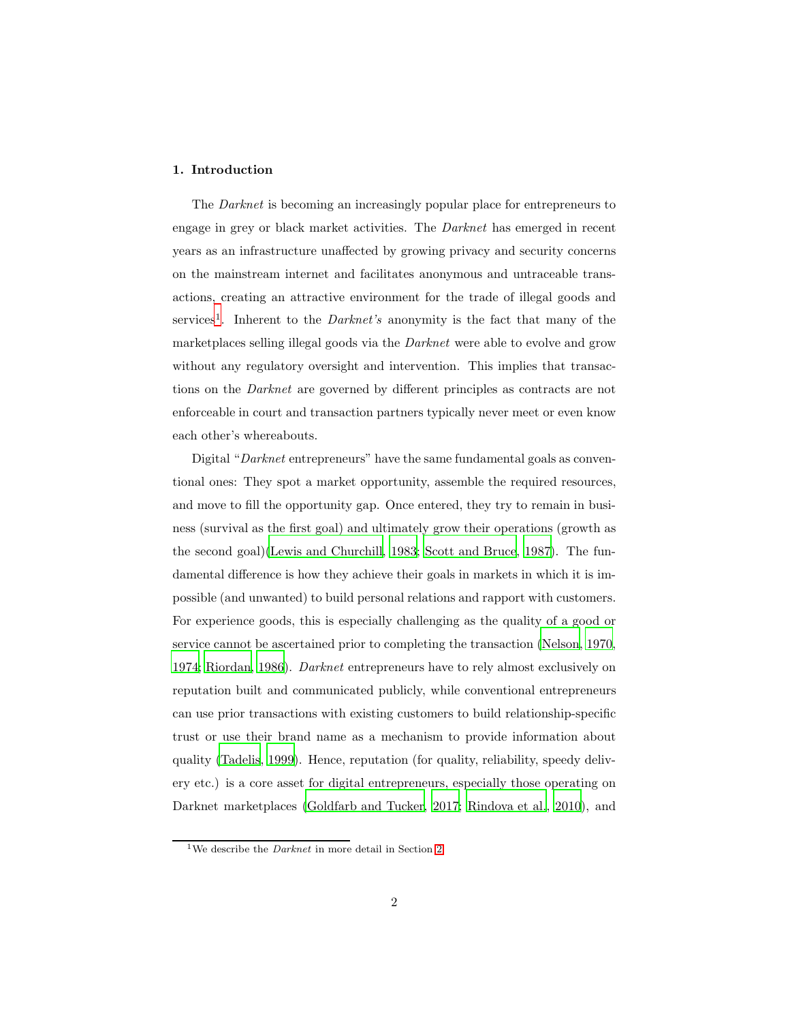#### 1. Introduction

The *Darknet* is becoming an increasingly popular place for entrepreneurs to engage in grey or black market activities. The *Darknet* has emerged in recent years as an infrastructure unaffected by growing privacy and security concerns on the mainstream internet and facilitates anonymous and untraceable transactions, creating an attractive environment for the trade of illegal goods and services<sup>[1](#page-1-0)</sup>. Inherent to the *Darknet's* anonymity is the fact that many of the marketplaces selling illegal goods via the *Darknet* were able to evolve and grow without any regulatory oversight and intervention. This implies that transactions on the *Darknet* are governed by different principles as contracts are not enforceable in court and transaction partners typically never meet or even know each other's whereabouts.

Digital "*Darknet* entrepreneurs" have the same fundamental goals as conventional ones: They spot a market opportunity, assemble the required resources, and move to fill the opportunity gap. Once entered, they try to remain in business (survival as the first goal) and ultimately grow their operations (growth as the second goal)[\(Lewis and Churchill, 1983](#page-31-0); [Scott and Bruce](#page-33-0), [1987\)](#page-33-0). The fundamental difference is how they achieve their goals in markets in which it is impossible (and unwanted) to build personal relations and rapport with customers. For experience goods, this is especially challenging as the quality of a good or service cannot be ascertained prior to completing the transaction [\(Nelson](#page-32-0), [1970,](#page-32-0) [1974;](#page-32-1) [Riordan, 1986](#page-33-1)). *Darknet* entrepreneurs have to rely almost exclusively on reputation built and communicated publicly, while conventional entrepreneurs can use prior transactions with existing customers to build relationship-specific trust or use their brand name as a mechanism to provide information about quality [\(Tadelis, 1999\)](#page-33-2). Hence, reputation (for quality, reliability, speedy delivery etc.) is a core asset for digital entrepreneurs, especially those operating on Darknet marketplaces [\(Goldfarb and Tucker, 2017;](#page-29-0) [Rindova et al.,](#page-33-3) [2010\)](#page-33-3), and

<span id="page-1-0"></span><sup>&</sup>lt;sup>1</sup>We describe the *Darknet* in more detail in Section [2](#page-3-0)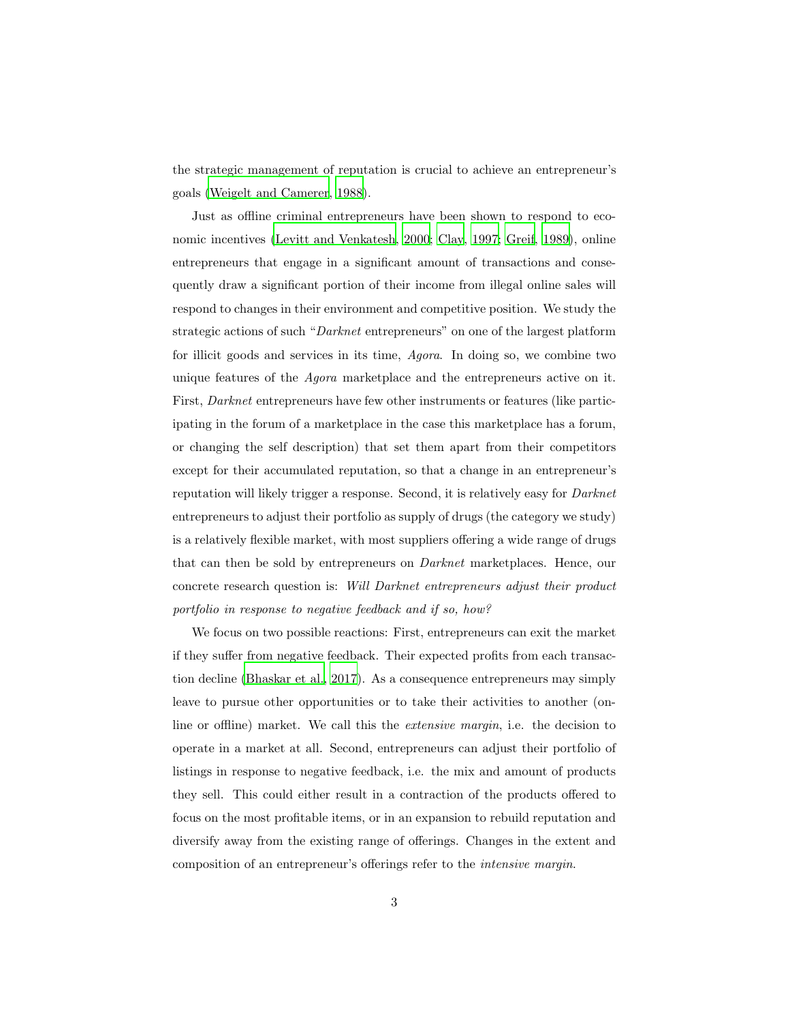the strategic management of reputation is crucial to achieve an entrepreneur's goals [\(Weigelt and Camerer](#page-34-0), [1988](#page-34-0)).

Just as offline criminal entrepreneurs have been shown to respond to economic incentives [\(Levitt and Venkatesh, 2000](#page-31-1); [Clay, 1997](#page-28-0); [Greif](#page-29-1), [1989](#page-29-1)), online entrepreneurs that engage in a significant amount of transactions and consequently draw a significant portion of their income from illegal online sales will respond to changes in their environment and competitive position. We study the strategic actions of such "*Darknet* entrepreneurs" on one of the largest platform for illicit goods and services in its time, *Agora*. In doing so, we combine two unique features of the *Agora* marketplace and the entrepreneurs active on it. First, *Darknet* entrepreneurs have few other instruments or features (like participating in the forum of a marketplace in the case this marketplace has a forum, or changing the self description) that set them apart from their competitors except for their accumulated reputation, so that a change in an entrepreneur's reputation will likely trigger a response. Second, it is relatively easy for *Darknet* entrepreneurs to adjust their portfolio as supply of drugs (the category we study) is a relatively flexible market, with most suppliers offering a wide range of drugs that can then be sold by entrepreneurs on *Darknet* marketplaces. Hence, our concrete research question is: *Will Darknet entrepreneurs adjust their product portfolio in response to negative feedback and if so, how?*

We focus on two possible reactions: First, entrepreneurs can exit the market if they suffer from negative feedback. Their expected profits from each transaction decline [\(Bhaskar et al.](#page-27-0), [2017\)](#page-27-0). As a consequence entrepreneurs may simply leave to pursue other opportunities or to take their activities to another (online or offline) market. We call this the *extensive margin*, i.e. the decision to operate in a market at all. Second, entrepreneurs can adjust their portfolio of listings in response to negative feedback, i.e. the mix and amount of products they sell. This could either result in a contraction of the products offered to focus on the most profitable items, or in an expansion to rebuild reputation and diversify away from the existing range of offerings. Changes in the extent and composition of an entrepreneur's offerings refer to the *intensive margin*.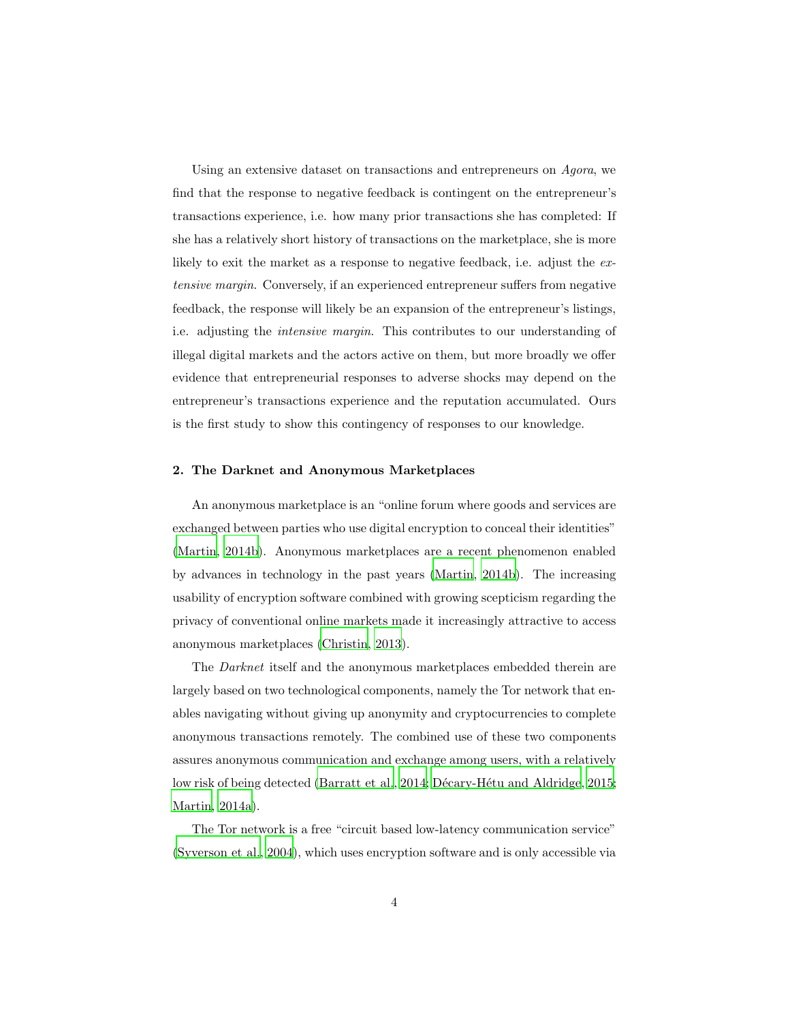Using an extensive dataset on transactions and entrepreneurs on *Agora*, we find that the response to negative feedback is contingent on the entrepreneur's transactions experience, i.e. how many prior transactions she has completed: If she has a relatively short history of transactions on the marketplace, she is more likely to exit the market as a response to negative feedback, i.e. adjust the *extensive margin*. Conversely, if an experienced entrepreneur suffers from negative feedback, the response will likely be an expansion of the entrepreneur's listings, i.e. adjusting the *intensive margin*. This contributes to our understanding of illegal digital markets and the actors active on them, but more broadly we offer evidence that entrepreneurial responses to adverse shocks may depend on the entrepreneur's transactions experience and the reputation accumulated. Ours is the first study to show this contingency of responses to our knowledge.

#### <span id="page-3-0"></span>2. The Darknet and Anonymous Marketplaces

An anonymous marketplace is an "online forum where goods and services are exchanged between parties who use digital encryption to conceal their identities" [\(Martin, 2014b](#page-31-2)). Anonymous marketplaces are a recent phenomenon enabled by advances in technology in the past years [\(Martin](#page-31-2), [2014b\)](#page-31-2). The increasing usability of encryption software combined with growing scepticism regarding the privacy of conventional online markets made it increasingly attractive to access anonymous marketplaces [\(Christin](#page-28-1), [2013](#page-28-1)).

The *Darknet* itself and the anonymous marketplaces embedded therein are largely based on two technological components, namely the Tor network that enables navigating without giving up anonymity and cryptocurrencies to complete anonymous transactions remotely. The combined use of these two components assures anonymous communication and exchange among users, with a relatively low risk of being detected [\(Barratt et al.](#page-27-1), [2014](#page-27-1); Décary-Hétu and Aldridge, 2015; [Martin, 2014a\)](#page-31-3).

The Tor network is a free "circuit based low-latency communication service" [\(Syverson et al., 2004\)](#page-33-4), which uses encryption software and is only accessible via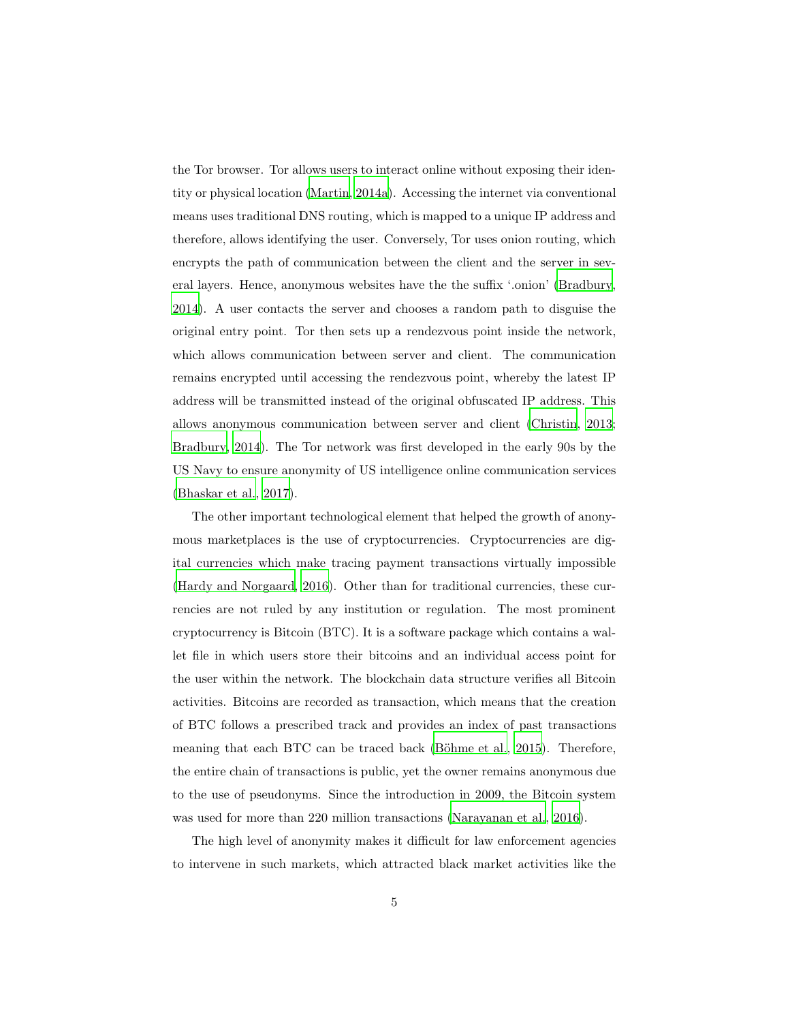the Tor browser. Tor allows users to interact online without exposing their identity or physical location [\(Martin, 2014a\)](#page-31-3). Accessing the internet via conventional means uses traditional DNS routing, which is mapped to a unique IP address and therefore, allows identifying the user. Conversely, Tor uses onion routing, which encrypts the path of communication between the client and the server in several layers. Hence, anonymous websites have the the suffix '.onion' [\(Bradbury,](#page-27-2) [2014\)](#page-27-2). A user contacts the server and chooses a random path to disguise the original entry point. Tor then sets up a rendezvous point inside the network, which allows communication between server and client. The communication remains encrypted until accessing the rendezvous point, whereby the latest IP address will be transmitted instead of the original obfuscated IP address. This allows anonymous communication between server and client [\(Christin](#page-28-1), [2013;](#page-28-1) [Bradbury, 2014\)](#page-27-2). The Tor network was first developed in the early 90s by the US Navy to ensure anonymity of US intelligence online communication services [\(Bhaskar et al.](#page-27-0), [2017](#page-27-0)).

The other important technological element that helped the growth of anonymous marketplaces is the use of cryptocurrencies. Cryptocurrencies are digital currencies which make tracing payment transactions virtually impossible [\(Hardy and Norgaard](#page-30-0), [2016\)](#page-30-0). Other than for traditional currencies, these currencies are not ruled by any institution or regulation. The most prominent cryptocurrency is Bitcoin (BTC). It is a software package which contains a wallet file in which users store their bitcoins and an individual access point for the user within the network. The blockchain data structure verifies all Bitcoin activities. Bitcoins are recorded as transaction, which means that the creation of BTC follows a prescribed track and provides an index of past transactions meaning that each BTC can be traced back (Böhme et al., 2015). Therefore, the entire chain of transactions is public, yet the owner remains anonymous due to the use of pseudonyms. Since the introduction in 2009, the Bitcoin system was used for more than 220 million transactions [\(Narayanan et al., 2016](#page-32-2)).

The high level of anonymity makes it difficult for law enforcement agencies to intervene in such markets, which attracted black market activities like the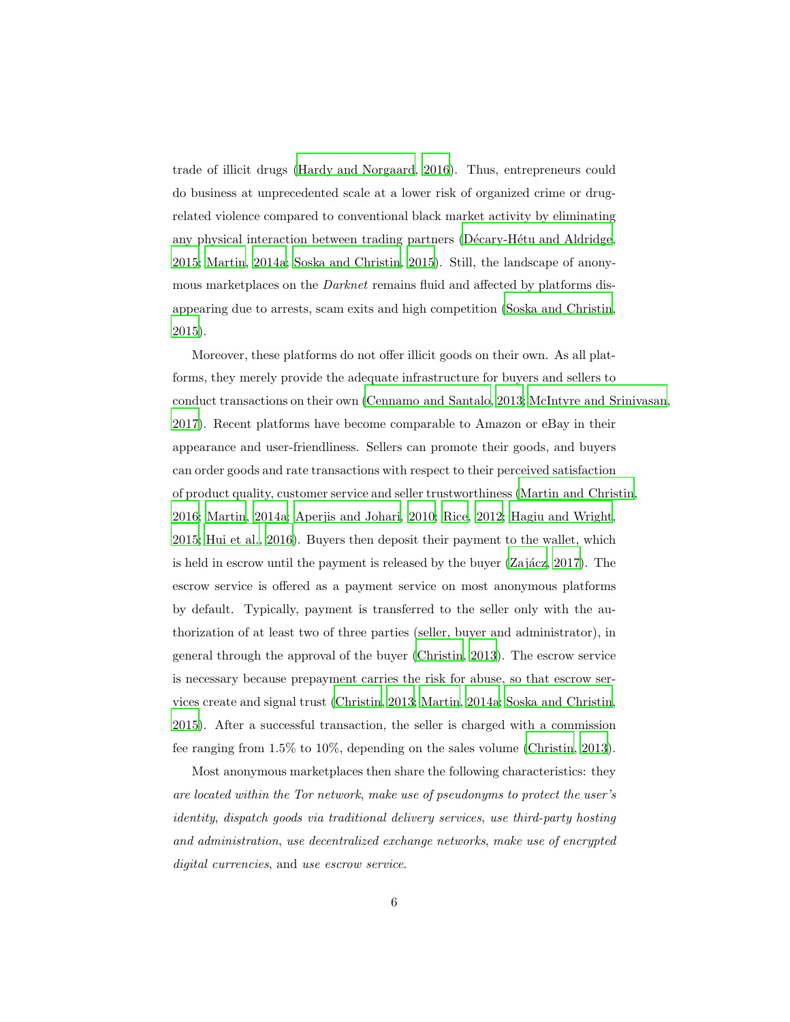trade of illicit drugs [\(Hardy and Norgaard, 2016\)](#page-30-0). Thus, entrepreneurs could do business at unprecedented scale at a lower risk of organized crime or drugrelated violence compared to conventional black market activity by eliminating any physical interaction between trading partners (Décary-Hétu and Aldridge, [2015;](#page-29-2) [Martin](#page-31-3), [2014a;](#page-31-3) [Soska and Christin](#page-33-5), [2015\)](#page-33-5). Still, the landscape of anonymous marketplaces on the *Darknet* remains fluid and affected by platforms disappearing due to arrests, scam exits and high competition [\(Soska and Christin,](#page-33-5) [2015\)](#page-33-5).

Moreover, these platforms do not offer illicit goods on their own. As all platforms, they merely provide the adequate infrastructure for buyers and sellers to conduct transactions on their own [\(Cennamo and Santalo](#page-28-3), [2013](#page-28-3); [McIntyre and Srinivasan](#page-32-3), [2017\)](#page-32-3). Recent platforms have become comparable to Amazon or eBay in their appearance and user-friendliness. Sellers can promote their goods, and buyers can order goods and rate transactions with respect to their perceived satisfaction of product quality, customer service and seller trustworthiness [\(Martin and Christin,](#page-32-4) [2016;](#page-32-4) [Martin, 2014a;](#page-31-3) [Aperjis and Johari, 2010;](#page-27-3) [Rice, 2012;](#page-33-6) Hagiu [and Wright,](#page-30-1) [2015;](#page-30-1) [Hui et al., 2016\)](#page-30-2). Buyers then deposit their payment to the wallet, which is held in escrow until the payment is released by the buyer  $(Za\,i\alpha z, 2017)$ . The escrow service is offered as a payment service on most anonymous platforms by default. Typically, payment is transferred to the seller only with the authorization of at least two of three parties (seller, buyer and administrator), in general through the approval of the buyer [\(Christin, 2013\)](#page-28-1). The escrow service is necessary because prepayment carries the risk for abuse, so that escrow services create and signal trust [\(Christin, 2013;](#page-28-1) [Martin, 2014a;](#page-31-3) [Soska and Christin,](#page-33-5) [2015\)](#page-33-5). After a successful transaction, the seller is charged with a commission fee ranging from 1.5% to 10%, depending on the sales volume [\(Christin, 2013\)](#page-28-1).

Most anonymous marketplaces then share the following characteristics: they *are located within the Tor network*, *make use of pseudonyms to protect the user's identity*, *dispatch goods via traditional delivery services*, *use third-party hosting and administration*, *use decentralized exchange networks*, *make use of encrypted digital currencies*, and *use escrow service*.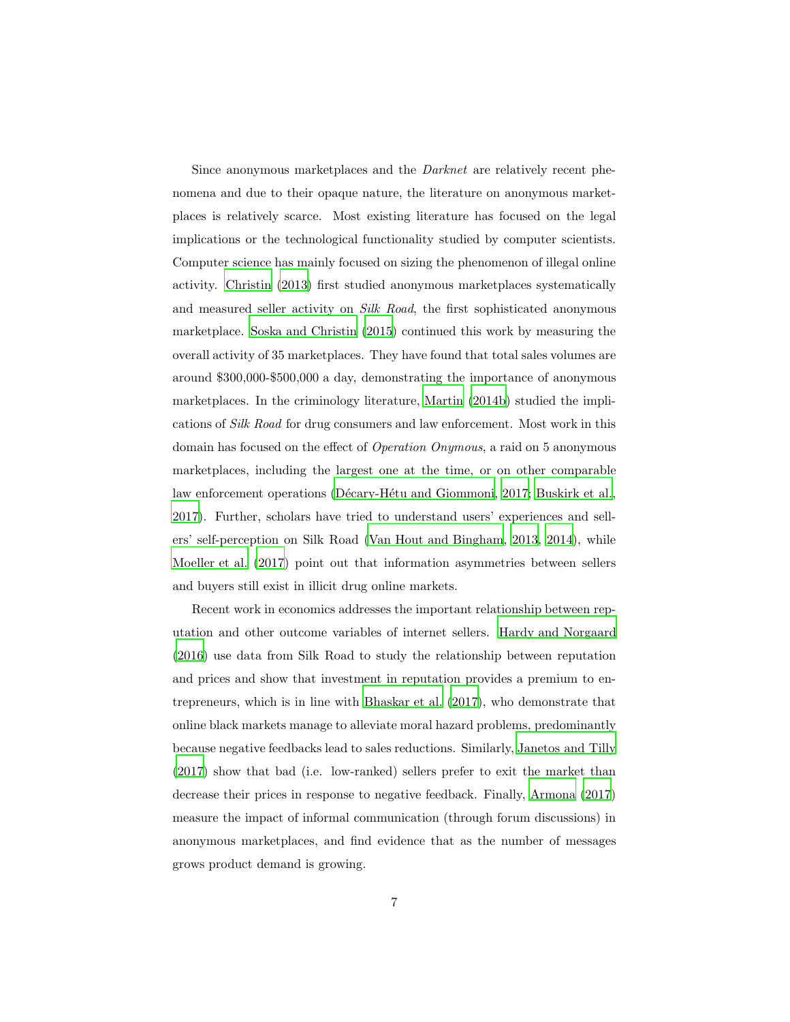Since anonymous marketplaces and the *Darknet* are relatively recent phenomena and due to their opaque nature, the literature on anonymous marketplaces is relatively scarce. Most existing literature has focused on the legal implications or the technological functionality studied by computer scientists. Computer science has mainly focused on sizing the phenomenon of illegal online activity. [Christin \(2013](#page-28-1)) first studied anonymous marketplaces systematically and measured seller activity on *Silk Road*, the first sophisticated anonymous marketplace. [Soska and Christin \(2015](#page-33-5)) continued this work by measuring the overall activity of 35 marketplaces. They have found that total sales volumes are around \$300,000-\$500,000 a day, demonstrating the importance of anonymous marketplaces. In the criminology literature, [Martin \(2014b](#page-31-2)) studied the implications of *Silk Road* for drug consumers and law enforcement. Most work in this domain has focused on the effect of *Operation Onymous*, a raid on 5 anonymous marketplaces, including the largest one at the time, or on other comparable law enforcement operations (Décary-Hétu and Giommoni, 2017; [Buskirk et al.,](#page-27-4) [2017\)](#page-27-4). Further, scholars have tried to understand users' experiences and sellers' self-perception on Silk Road [\(Van Hout and Bingham](#page-34-1), [2013,](#page-34-1) [2014\)](#page-34-2), while [Moeller et al. \(2017](#page-32-5)) point out that information asymmetries between sellers and buyers still exist in illicit drug online markets.

Recent work in economics addresses the important relationship between reputation and other outcome variables of internet sellers. [Hardy and](#page-30-0) Norgaard [\(2016\)](#page-30-0) use data from Silk Road to study the relationship between reputation and prices and show that investment in reputation provides a premium to entrepreneurs, which is in line with [Bhaskar et al. \(2017\)](#page-27-0), who demonstrate that online black markets manage to alleviate moral hazard problems, predominantly because negative feedbacks lead to sales reductions. Similarly, [Janetos and Tilly](#page-30-3) [\(2017\)](#page-30-3) show that bad (i.e. low-ranked) sellers prefer to exit the market than decrease their prices in response to negative feedback. Finally, [Armona \(2017\)](#page-27-5) measure the impact of informal communication (through forum discussions) in anonymous marketplaces, and find evidence that as the number of messages grows product demand is growing.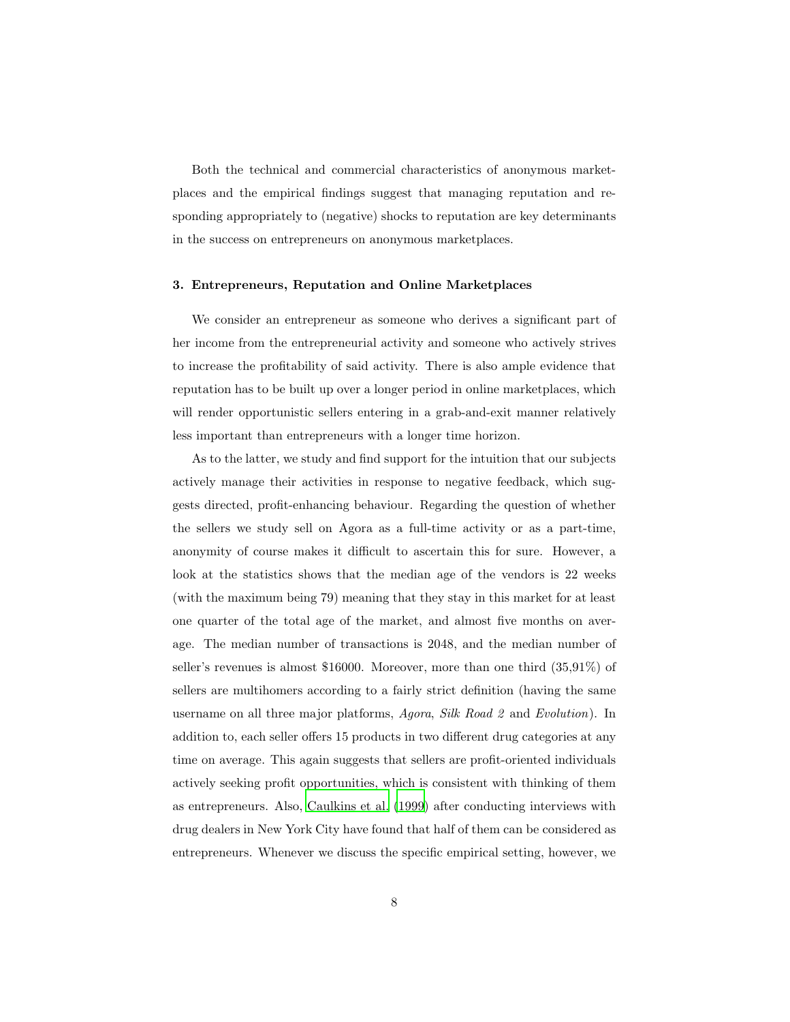Both the technical and commercial characteristics of anonymous marketplaces and the empirical findings suggest that managing reputation and responding appropriately to (negative) shocks to reputation are key determinants in the success on entrepreneurs on anonymous marketplaces.

#### 3. Entrepreneurs, Reputation and Online Marketplaces

We consider an entrepreneur as someone who derives a significant part of her income from the entrepreneurial activity and someone who actively strives to increase the profitability of said activity. There is also ample evidence that reputation has to be built up over a longer period in online marketplaces, which will render opportunistic sellers entering in a grab-and-exit manner relatively less important than entrepreneurs with a longer time horizon.

As to the latter, we study and find support for the intuition that our subjects actively manage their activities in response to negative feedback, which suggests directed, profit-enhancing behaviour. Regarding the question of whether the sellers we study sell on Agora as a full-time activity or as a part-time, anonymity of course makes it difficult to ascertain this for sure. However, a look at the statistics shows that the median age of the vendors is 22 weeks (with the maximum being 79) meaning that they stay in this market for at least one quarter of the total age of the market, and almost five months on average. The median number of transactions is 2048, and the median number of seller's revenues is almost \$16000. Moreover, more than one third (35,91%) of sellers are multihomers according to a fairly strict definition (having the same username on all three major platforms, *Agora*, *Silk Road 2* and *Evolution*). In addition to, each seller offers 15 products in two different drug categories at any time on average. This again suggests that sellers are profit-oriented individuals actively seeking profit opportunities, which is consistent with thinking of them as entrepreneurs. Also, [Caulkins et al. \(1999\)](#page-28-4) after conducting interviews with drug dealers in New York City have found that half of them can be considered as entrepreneurs. Whenever we discuss the specific empirical setting, however, we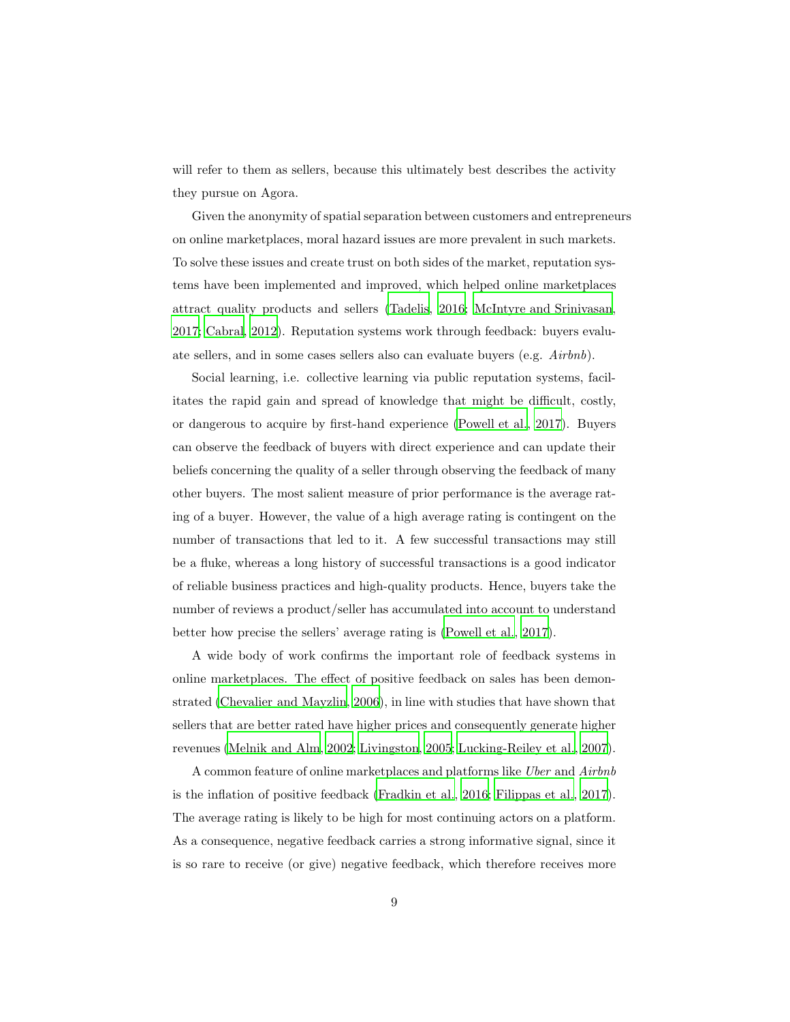will refer to them as sellers, because this ultimately best describes the activity they pursue on Agora.

Given the anonymity of spatial separation between customers and entrepreneurs on online marketplaces, moral hazard issues are more prevalent in such markets. To solve these issues and create trust on both sides of the market, reputation systems have been implemented and improved, which helped online marketplaces attract quality products and sellers [\(Tadelis, 2016](#page-34-3); [McIntyre and](#page-32-3) Srinivasan, [2017;](#page-32-3) [Cabral, 2012\)](#page-28-5). Reputation systems work through feedback: buyers evaluate sellers, and in some cases sellers also can evaluate buyers (e.g. *Airbnb*).

Social learning, i.e. collective learning via public reputation systems, facilitates the rapid gain and spread of knowledge that might be difficult, costly, or dangerous to acquire by first-hand experience [\(Powell et al., 2017](#page-33-7)). Buyers can observe the feedback of buyers with direct experience and can update their beliefs concerning the quality of a seller through observing the feedback of many other buyers. The most salient measure of prior performance is the average rating of a buyer. However, the value of a high average rating is contingent on the number of transactions that led to it. A few successful transactions may still be a fluke, whereas a long history of successful transactions is a good indicator of reliable business practices and high-quality products. Hence, buyers take the number of reviews a product/seller has accumulated into account to understand better how precise the sellers' average rating is [\(Powell et al., 2017\)](#page-33-7).

A wide body of work confirms the important role of feedback systems in online marketplaces. The effect of positive feedback on sales has been demonstrated [\(Chevalier and Mayzlin, 2006\)](#page-28-6), in line with studies that have shown that sellers that are better rated have higher prices and consequently generate higher revenues [\(Melnik and Alm](#page-32-6), [2002;](#page-32-6) [Livingston, 2005](#page-31-4); [Lucking-Reiley et](#page-31-5) al., [2007\)](#page-31-5).

A common feature of online marketplaces and platforms like *Uber* and *Airbnb* is the inflation of positive feedback [\(Fradkin et al.](#page-29-4), [2016;](#page-29-4) [Filippas et al., 2017\)](#page-29-5). The average rating is likely to be high for most continuing actors on a platform. As a consequence, negative feedback carries a strong informative signal, since it is so rare to receive (or give) negative feedback, which therefore receives more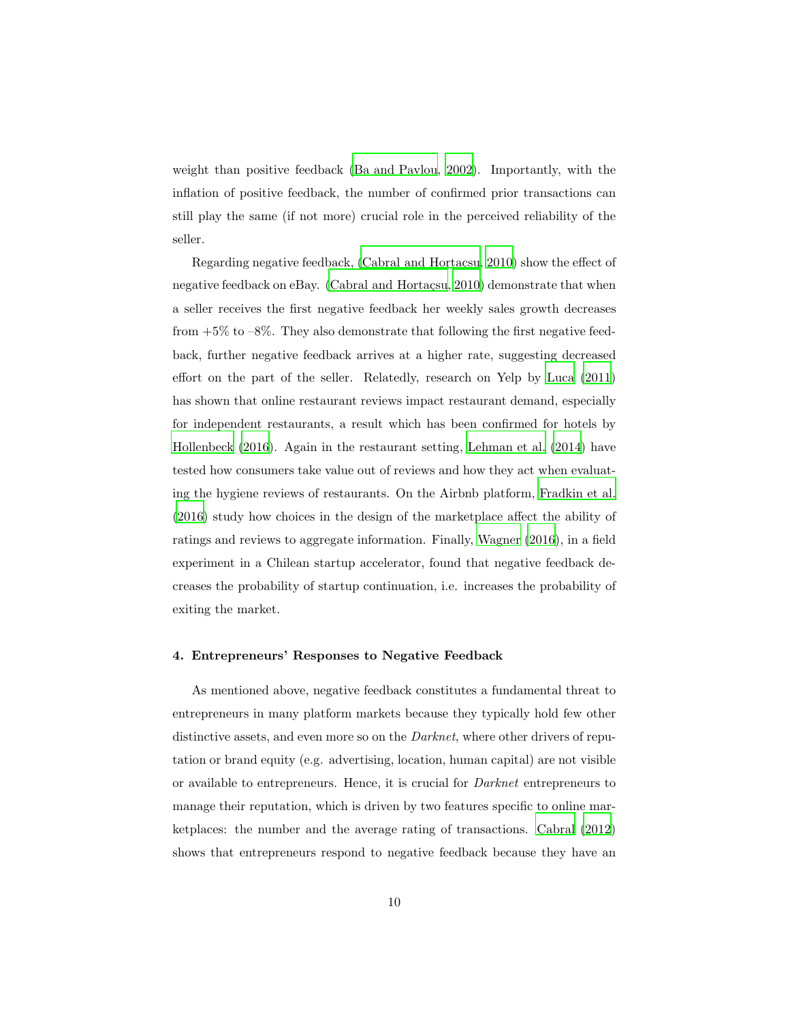weight than positive feedback [\(Ba and Pavlou, 2002](#page-27-6)). Importantly, with the inflation of positive feedback, the number of confirmed prior transactions can still play the same (if not more) crucial role in the perceived reliability of the seller.

Regarding negative feedback,  $(Cabral and Hortacsu, 2010)$  show the effect of negative feedback on eBay. (Cabral and Hortaçsu, [2010\)](#page-28-7) demonstrate that when a seller receives the first negative feedback her weekly sales growth decreases from  $+5\%$  to  $-8\%$ . They also demonstrate that following the first negative feedback, further negative feedback arrives at a higher rate, suggesting decreased effort on the part of the seller. Relatedly, research on Yelp by [Luca](#page-31-6) [\(2011\)](#page-31-6) has shown that online restaurant reviews impact restaurant demand, especially for independent restaurants, a result which has been confirmed for hotels by [Hollenbeck \(2016\)](#page-30-4). Again in the restaurant setting, [Lehman et al. \(2014\)](#page-30-5) have tested how consumers take value out of reviews and how they act when evaluating the hygiene reviews of restaurants. On the Airbnb platform, [Fradkin et al.](#page-29-4) [\(2016\)](#page-29-4) study how choices in the design of the marketplace affect the ability of ratings and reviews to aggregate information. Finally, [Wagner \(2016](#page-34-4)), in a field experiment in a Chilean startup accelerator, found that negative feedback decreases the probability of startup continuation, i.e. increases the probability of exiting the market.

#### 4. Entrepreneurs' Responses to Negative Feedback

As mentioned above, negative feedback constitutes a fundamental threat to entrepreneurs in many platform markets because they typically hold few other distinctive assets, and even more so on the *Darknet*, where other drivers of reputation or brand equity (e.g. advertising, location, human capital) are not visible or available to entrepreneurs. Hence, it is crucial for *Darknet* entrepreneurs to manage their reputation, which is driven by two features specific to online marketplaces: the number and the average rating of transactions. [Cabral \(2012\)](#page-28-5) shows that entrepreneurs respond to negative feedback because they have an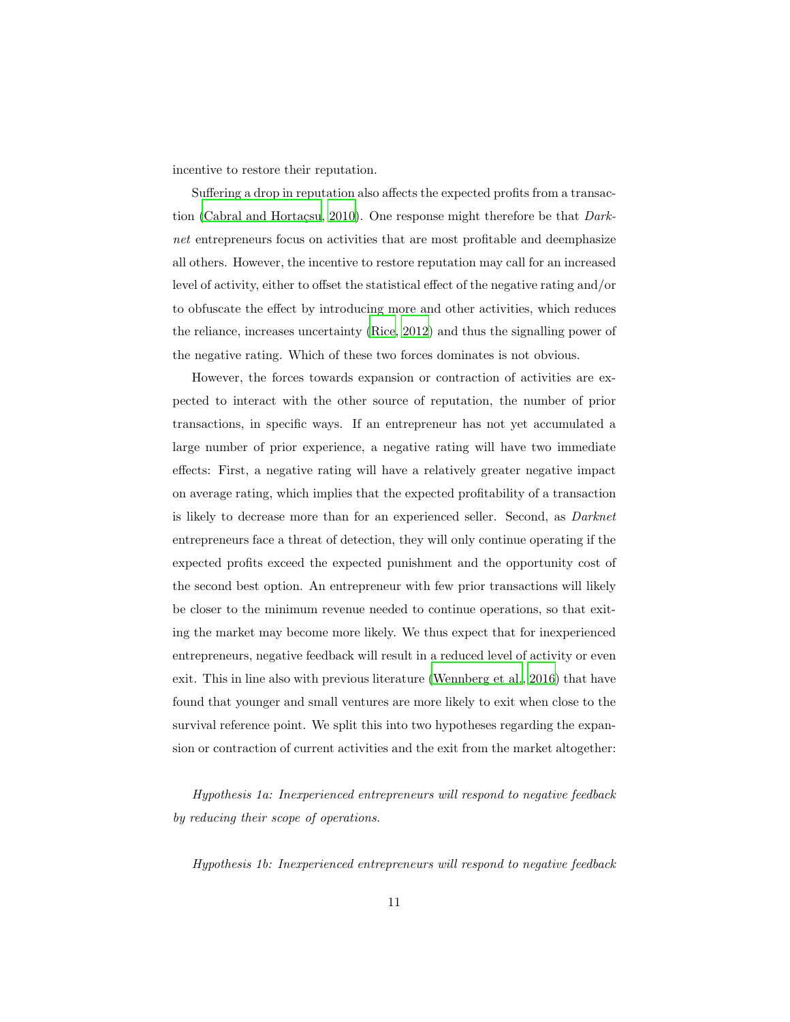incentive to restore their reputation.

Suffering a drop in reputation also affects the expected profits from a transac-tion (Cabral and Hortaçsu, [2010](#page-28-7)). One response might therefore be that *Darknet* entrepreneurs focus on activities that are most profitable and deemphasize all others. However, the incentive to restore reputation may call for an increased level of activity, either to offset the statistical effect of the negative rating and/or to obfuscate the effect by introducing more and other activities, which reduces the reliance, increases uncertainty [\(Rice](#page-33-6), [2012](#page-33-6)) and thus the signalling power of the negative rating. Which of these two forces dominates is not obvious.

However, the forces towards expansion or contraction of activities are expected to interact with the other source of reputation, the number of prior transactions, in specific ways. If an entrepreneur has not yet accumulated a large number of prior experience, a negative rating will have two immediate effects: First, a negative rating will have a relatively greater negative impact on average rating, which implies that the expected profitability of a transaction is likely to decrease more than for an experienced seller. Second, as *Darknet* entrepreneurs face a threat of detection, they will only continue operating if the expected profits exceed the expected punishment and the opportunity cost of the second best option. An entrepreneur with few prior transactions will likely be closer to the minimum revenue needed to continue operations, so that exiting the market may become more likely. We thus expect that for inexperienced entrepreneurs, negative feedback will result in a reduced level of activity or even exit. This in line also with previous literature [\(Wennberg et al., 2016\)](#page-34-5) that have found that younger and small ventures are more likely to exit when close to the survival reference point. We split this into two hypotheses regarding the expansion or contraction of current activities and the exit from the market altogether:

*Hypothesis 1a: Inexperienced entrepreneurs will respond to negative feedback by reducing their scope of operations.*

*Hypothesis 1b: Inexperienced entrepreneurs will respond to negative feedback*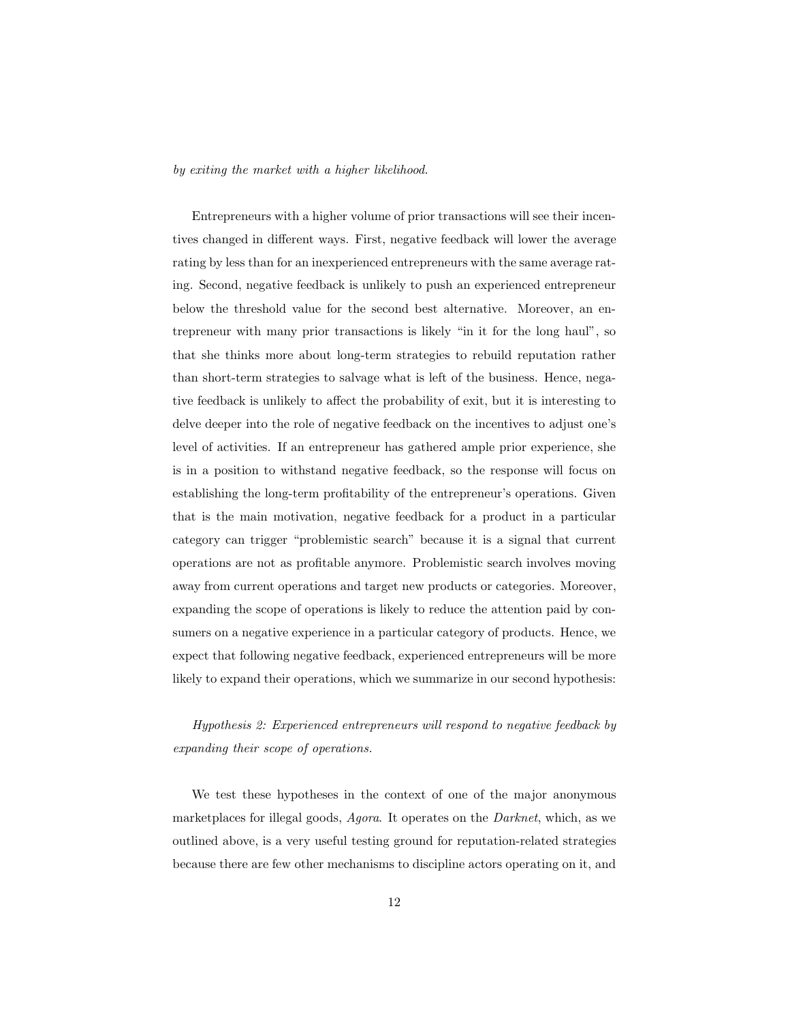#### *by exiting the market with a higher likelihood.*

Entrepreneurs with a higher volume of prior transactions will see their incentives changed in different ways. First, negative feedback will lower the average rating by less than for an inexperienced entrepreneurs with the same average rating. Second, negative feedback is unlikely to push an experienced entrepreneur below the threshold value for the second best alternative. Moreover, an entrepreneur with many prior transactions is likely "in it for the long haul", so that she thinks more about long-term strategies to rebuild reputation rather than short-term strategies to salvage what is left of the business. Hence, negative feedback is unlikely to affect the probability of exit, but it is interesting to delve deeper into the role of negative feedback on the incentives to adjust one's level of activities. If an entrepreneur has gathered ample prior experience, she is in a position to withstand negative feedback, so the response will focus on establishing the long-term profitability of the entrepreneur's operations. Given that is the main motivation, negative feedback for a product in a particular category can trigger "problemistic search" because it is a signal that current operations are not as profitable anymore. Problemistic search involves moving away from current operations and target new products or categories. Moreover, expanding the scope of operations is likely to reduce the attention paid by consumers on a negative experience in a particular category of products. Hence, we expect that following negative feedback, experienced entrepreneurs will be more likely to expand their operations, which we summarize in our second hypothesis:

*Hypothesis 2: Experienced entrepreneurs will respond to negative feedback by expanding their scope of operations.*

We test these hypotheses in the context of one of the major anonymous marketplaces for illegal goods, *Agora*. It operates on the *Darknet*, which, as we outlined above, is a very useful testing ground for reputation-related strategies because there are few other mechanisms to discipline actors operating on it, and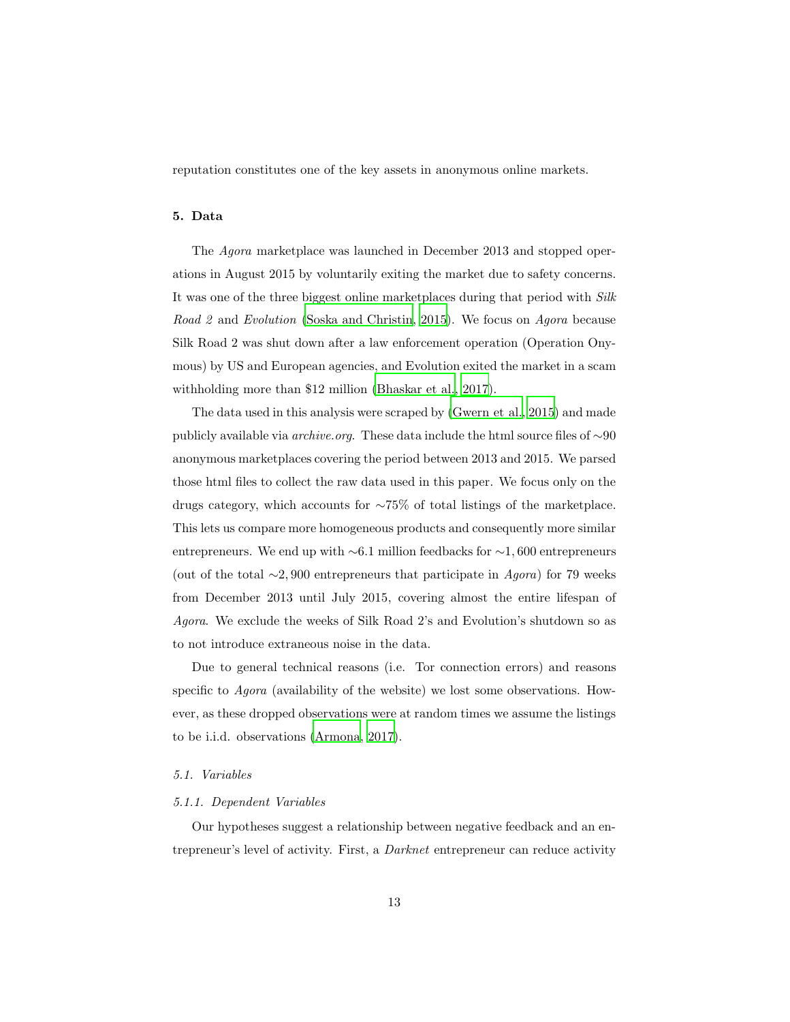<span id="page-12-0"></span>reputation constitutes one of the key assets in anonymous online markets.

#### 5. Data

The *Agora* marketplace was launched in December 2013 and stopped operations in August 2015 by voluntarily exiting the market due to safety concerns. It was one of the three biggest online marketplaces during that period with *Silk Road 2* and *Evolution* [\(Soska and Christin](#page-33-5), [2015](#page-33-5)). We focus on *Agora* because Silk Road 2 was shut down after a law enforcement operation (Operation Onymous) by US and European agencies, and Evolution exited the market in a scam withholding more than \$12 million [\(Bhaskar et al., 2017\)](#page-27-0).

The data used in this analysis were scraped by [\(Gwern et al., 2015\)](#page-30-6) and made publicly available via *archive.org*. These data include the html source files of ∼90 anonymous marketplaces covering the period between 2013 and 2015. We parsed those html files to collect the raw data used in this paper. We focus only on the drugs category, which accounts for ∼75% of total listings of the marketplace. This lets us compare more homogeneous products and consequently more similar entrepreneurs. We end up with ∼6.1 million feedbacks for ∼1, 600 entrepreneurs (out of the total ∼2, 900 entrepreneurs that participate in *Agora*) for 79 weeks from December 2013 until July 2015, covering almost the entire lifespan of *Agora*. We exclude the weeks of Silk Road 2's and Evolution's shutdown so as to not introduce extraneous noise in the data.

Due to general technical reasons (i.e. Tor connection errors) and reasons specific to *Agora* (availability of the website) we lost some observations. However, as these dropped observations were at random times we assume the listings to be i.i.d. observations [\(Armona](#page-27-5), [2017\)](#page-27-5).

#### *5.1. Variables*

#### *5.1.1. Dependent Variables*

Our hypotheses suggest a relationship between negative feedback and an entrepreneur's level of activity. First, a *Darknet* entrepreneur can reduce activity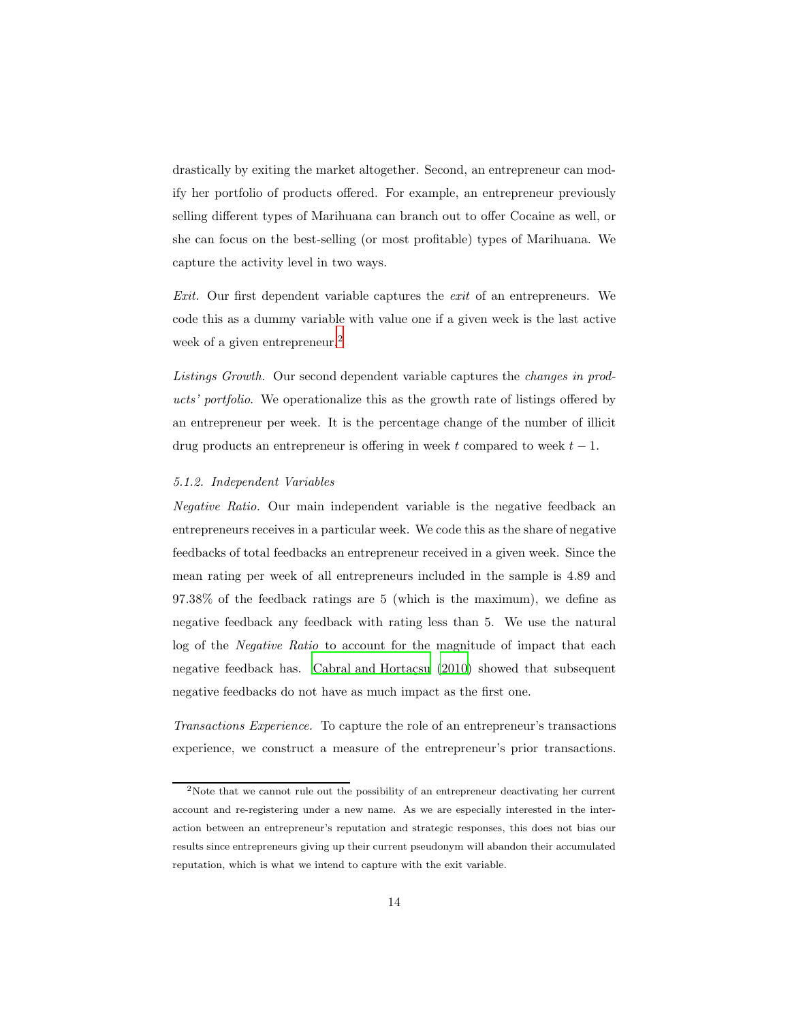drastically by exiting the market altogether. Second, an entrepreneur can modify her portfolio of products offered. For example, an entrepreneur previously selling different types of Marihuana can branch out to offer Cocaine as well, or she can focus on the best-selling (or most profitable) types of Marihuana. We capture the activity level in two ways.

*Exit.* Our first dependent variable captures the *exit* of an entrepreneurs. We code this as a dummy variable with value one if a given week is the last active week of a given entrepreneur.<sup>[2](#page-13-0)</sup>

*Listings Growth.* Our second dependent variable captures the *changes in products' portfolio*. We operationalize this as the growth rate of listings offered by an entrepreneur per week. It is the percentage change of the number of illicit drug products an entrepreneur is offering in week t compared to week  $t - 1$ .

#### *5.1.2. Independent Variables*

*Negative Ratio.* Our main independent variable is the negative feedback an entrepreneurs receives in a particular week. We code this as the share of negative feedbacks of total feedbacks an entrepreneur received in a given week. Since the mean rating per week of all entrepreneurs included in the sample is 4.89 and 97.38% of the feedback ratings are 5 (which is the maximum), we define as negative feedback any feedback with rating less than 5. We use the natural log of the *Negative Ratio* to account for the magnitude of impact that each negative feedback has. Cabral and Hortacsu  $(2010)$  showed that subsequent negative feedbacks do not have as much impact as the first one.

*Transactions Experience.* To capture the role of an entrepreneur's transactions experience, we construct a measure of the entrepreneur's prior transactions.

<span id="page-13-0"></span><sup>2</sup>Note that we cannot rule out the possibility of an entrepreneur deactivating her current account and re-registering under a new name. As we are especially interested in the interaction between an entrepreneur's reputation and strategic responses, this does not bias our results since entrepreneurs giving up their current pseudonym will abandon their accumulated reputation, which is what we intend to capture with the exit variable.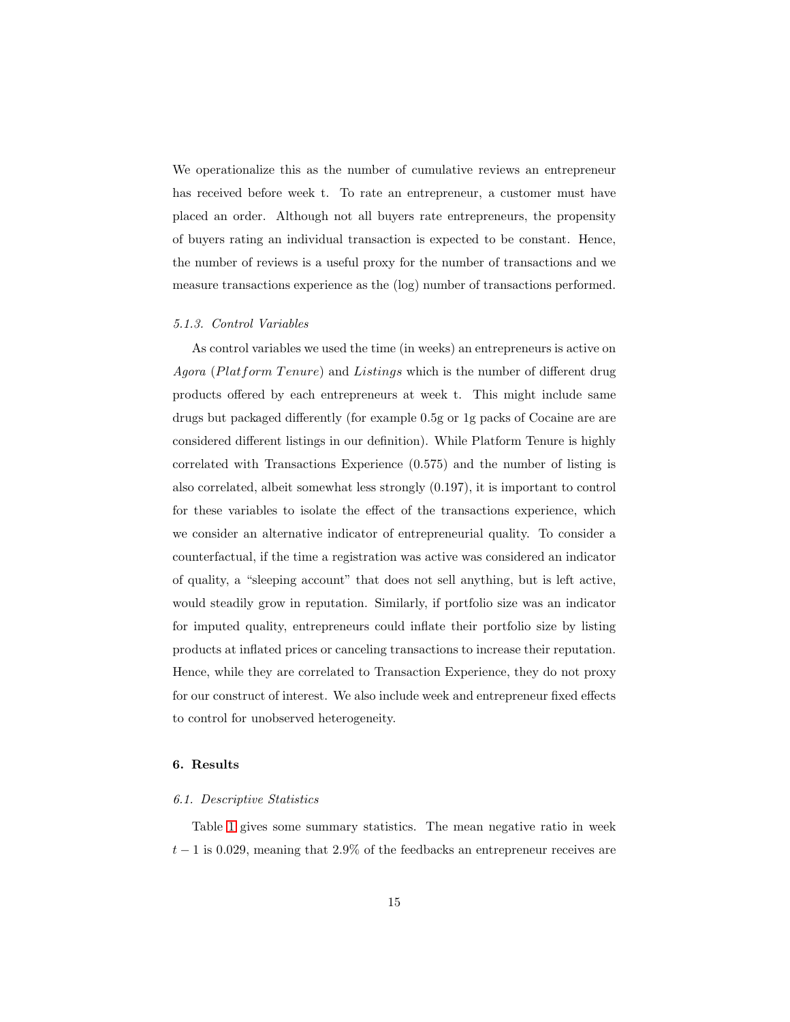We operationalize this as the number of cumulative reviews an entrepreneur has received before week t. To rate an entrepreneur, a customer must have placed an order. Although not all buyers rate entrepreneurs, the propensity of buyers rating an individual transaction is expected to be constant. Hence, the number of reviews is a useful proxy for the number of transactions and we measure transactions experience as the (log) number of transactions performed.

#### *5.1.3. Control Variables*

As control variables we used the time (in weeks) an entrepreneurs is active on *Agora* (Platform Tenure) and Listings which is the number of different drug products offered by each entrepreneurs at week t. This might include same drugs but packaged differently (for example 0.5g or 1g packs of Cocaine are are considered different listings in our definition). While Platform Tenure is highly correlated with Transactions Experience (0.575) and the number of listing is also correlated, albeit somewhat less strongly (0.197), it is important to control for these variables to isolate the effect of the transactions experience, which we consider an alternative indicator of entrepreneurial quality. To consider a counterfactual, if the time a registration was active was considered an indicator of quality, a "sleeping account" that does not sell anything, but is left active, would steadily grow in reputation. Similarly, if portfolio size was an indicator for imputed quality, entrepreneurs could inflate their portfolio size by listing products at inflated prices or canceling transactions to increase their reputation. Hence, while they are correlated to Transaction Experience, they do not proxy for our construct of interest. We also include week and entrepreneur fixed effects to control for unobserved heterogeneity.

#### 6. Results

#### *6.1. Descriptive Statistics*

Table [1](#page-15-0) gives some summary statistics. The mean negative ratio in week  $t-1$  is 0.029, meaning that 2.9% of the feedbacks an entrepreneur receives are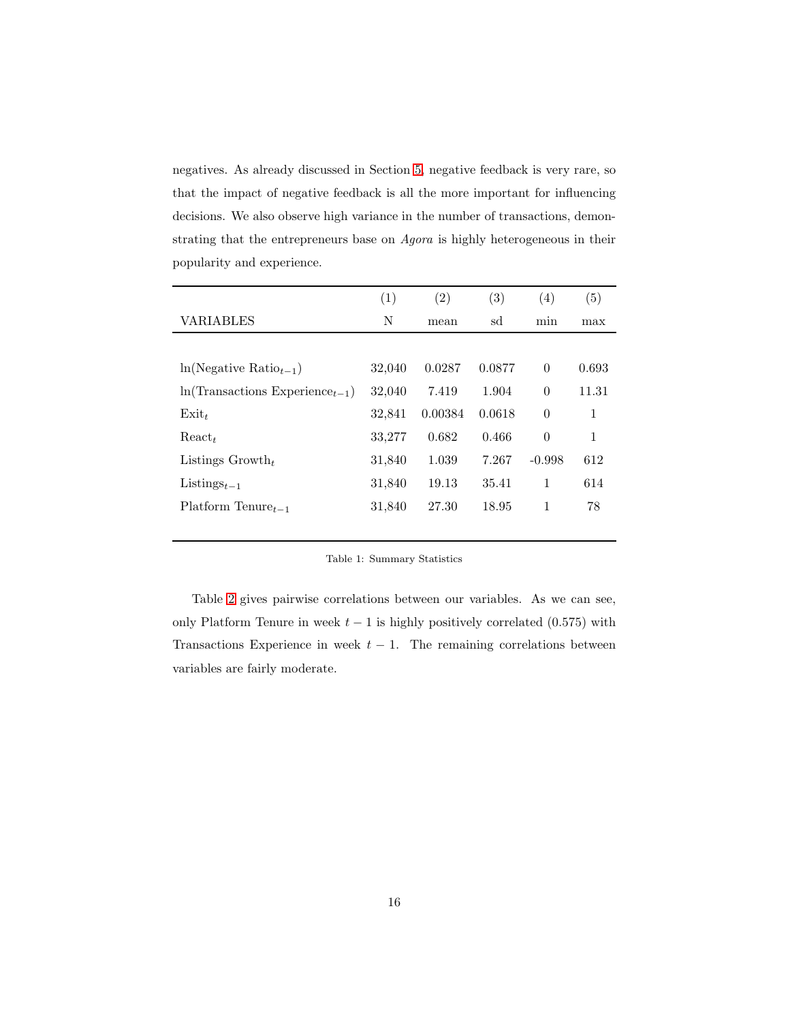negatives. As already discussed in Section [5,](#page-12-0) negative feedback is very rare, so that the impact of negative feedback is all the more important for influencing decisions. We also observe high variance in the number of transactions, demonstrating that the entrepreneurs base on *Agora* is highly heterogeneous in their popularity and experience.

|                                     | (1)    | (2)     | (3)    | (4)      | (5)   |
|-------------------------------------|--------|---------|--------|----------|-------|
| VARIABLES                           | N      | mean    | sd     | min      | max   |
|                                     |        |         |        |          |       |
| $ln(Negative Ratio_{t-1})$          | 32,040 | 0.0287  | 0.0877 | $\Omega$ | 0.693 |
| $ln(Transactions Experience_{t-1})$ | 32,040 | 7.419   | 1.904  | $\Omega$ | 11.31 |
| $Exit_t$                            | 32,841 | 0.00384 | 0.0618 | $\Omega$ | 1     |
| $React_t$                           | 33,277 | 0.682   | 0.466  | $\theta$ | 1     |
| Listings $Growth_t$                 | 31,840 | 1.039   | 7.267  | $-0.998$ | 612   |
| Listings $t-1$                      | 31,840 | 19.13   | 35.41  | 1        | 614   |
| $Platform$ Tenure <sub>t-1</sub>    | 31,840 | 27.30   | 18.95  | 1        | 78    |
|                                     |        |         |        |          |       |

#### <span id="page-15-0"></span>Table 1: Summary Statistics

Table [2](#page-16-0) gives pairwise correlations between our variables. As we can see, only Platform Tenure in week  $t - 1$  is highly positively correlated (0.575) with Transactions Experience in week  $t - 1$ . The remaining correlations between variables are fairly moderate.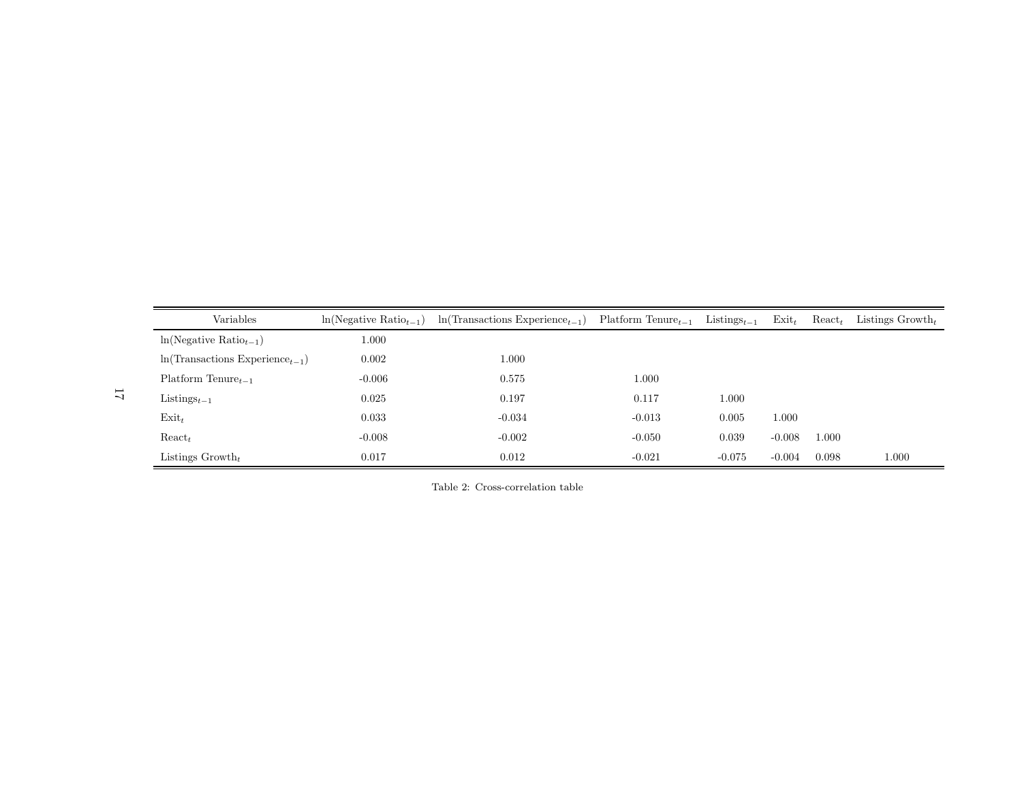| Variables                                           | $ln(Negative Ratiot-1)$ | $ln(Transactions Experience_{t-1})$ | Platform Tenure $_{t-1}$ | Listings <sub><math>t-1</math></sub> | $\text{Exit}_t$ | $\text{React}_t$ | Listings $Growth_t$ |
|-----------------------------------------------------|-------------------------|-------------------------------------|--------------------------|--------------------------------------|-----------------|------------------|---------------------|
| $ln(Negative Ratiot-1)$                             | 1.000                   |                                     |                          |                                      |                 |                  |                     |
| $\ln(\text{Transactions}\ \text{Experience}_{t-1})$ | 0.002                   | 1.000                               |                          |                                      |                 |                  |                     |
| Platform Tenure $_{t-1}$                            | $-0.006$                | 0.575                               | 1.000                    |                                      |                 |                  |                     |
| $Listings_{t-1}$                                    | 0.025                   | 0.197                               | 0.117                    | 1.000                                |                 |                  |                     |
| $Exit_t$                                            | 0.033                   | $-0.034$                            | $-0.013$                 | 0.005                                | 1.000           |                  |                     |
| $\text{React}_t$                                    | $-0.008$                | $-0.002$                            | $-0.050$                 | 0.039                                | $-0.008$        | 1.000            |                     |
| Listings $Growth_t$                                 | 0.017                   | 0.012                               | $-0.021$                 | $-0.075$                             | $-0.004$        | 0.098            | 1.000               |

<span id="page-16-0"></span>Table 2: Cross-correlation table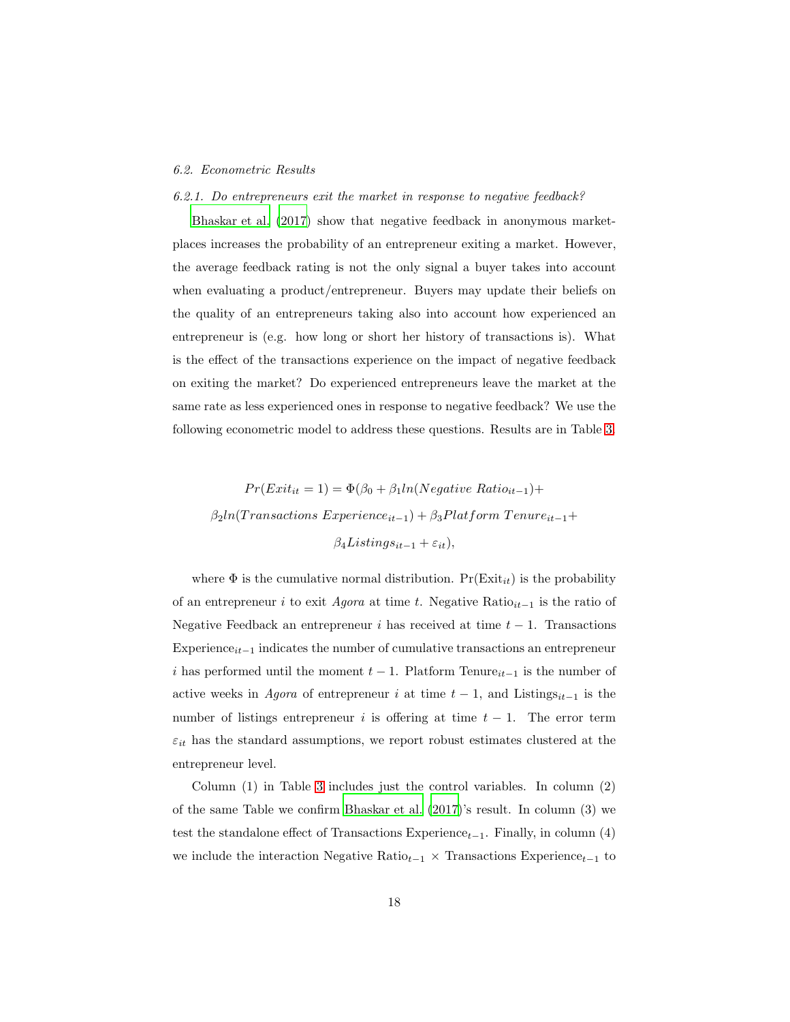#### *6.2. Econometric Results*

#### *6.2.1. Do entrepreneurs exit the market in response to negative feedback?*

[Bhaskar et al. \(2017\)](#page-27-0) show that negative feedback in anonymous marketplaces increases the probability of an entrepreneur exiting a market. However, the average feedback rating is not the only signal a buyer takes into account when evaluating a product/entrepreneur. Buyers may update their beliefs on the quality of an entrepreneurs taking also into account how experienced an entrepreneur is (e.g. how long or short her history of transactions is). What is the effect of the transactions experience on the impact of negative feedback on exiting the market? Do experienced entrepreneurs leave the market at the same rate as less experienced ones in response to negative feedback? We use the following econometric model to address these questions. Results are in Table [3.](#page-18-0)

$$
Pr(Exit_{it} = 1) = \Phi(\beta_0 + \beta_1 ln(Negative Ratio_{it-1}) +
$$
  

$$
\beta_2 ln(Transactions Experience_{it-1}) + \beta_3 Platform Tenure_{it-1} +
$$
  

$$
\beta_4 Listings_{it-1} + \varepsilon_{it}),
$$

where  $\Phi$  is the cumulative normal distribution.  $Pr(Exit_{it})$  is the probability of an entrepreneur *i* to exit *Agora* at time t. Negative Ratio<sub>it−1</sub> is the ratio of Negative Feedback an entrepreneur i has received at time  $t - 1$ . Transactions Experience $_{it-1}$  indicates the number of cumulative transactions an entrepreneur i has performed until the moment  $t - 1$ . Platform Tenure<sub>it−1</sub> is the number of active weeks in *Agora* of entrepreneur i at time  $t - 1$ , and Listings<sub>it-1</sub> is the number of listings entrepreneur i is offering at time  $t - 1$ . The error term  $\varepsilon_{it}$  has the standard assumptions, we report robust estimates clustered at the entrepreneur level.

Column (1) in Table [3](#page-18-0) includes just the control variables. In column (2) of the same Table we confirm [Bhaskar et al. \(2017](#page-27-0))'s result. In column (3) we test the standalone effect of Transactions Experience<sub>t−1</sub>. Finally, in column (4) we include the interaction Negative Ratio<sub>t−1</sub>  $\times$  Transactions Experience<sub>t−1</sub> to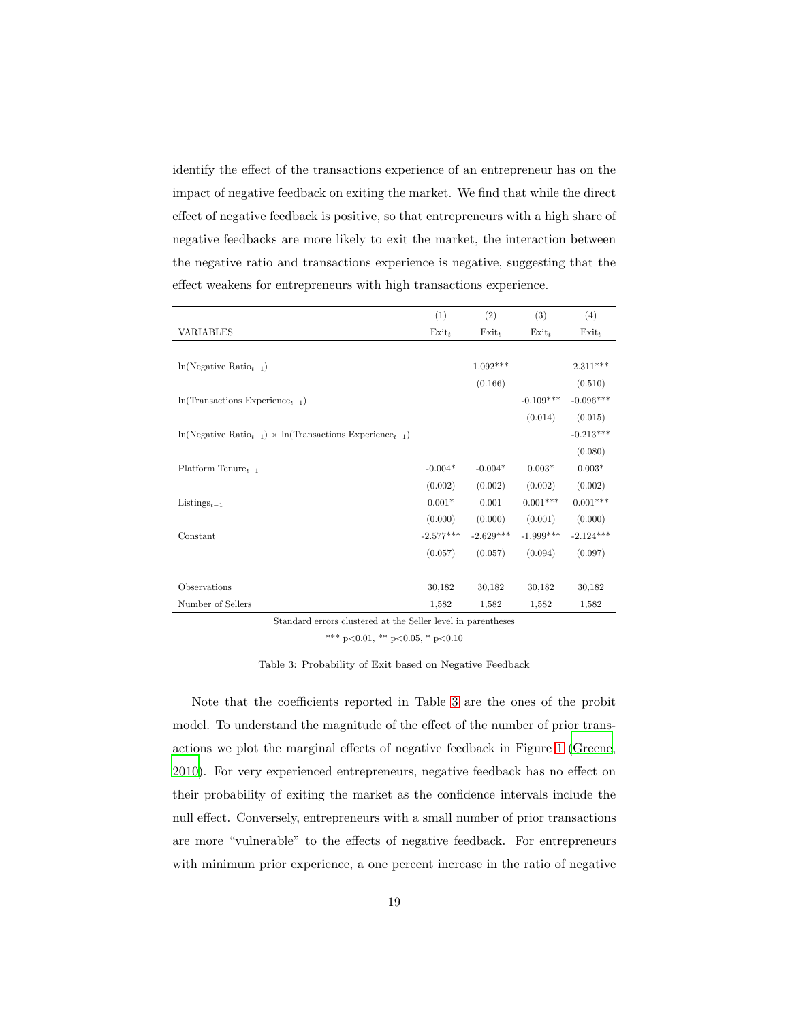identify the effect of the transactions experience of an entrepreneur has on the impact of negative feedback on exiting the market. We find that while the direct effect of negative feedback is positive, so that entrepreneurs with a high share of negative feedbacks are more likely to exit the market, the interaction between the negative ratio and transactions experience is negative, suggesting that the effect weakens for entrepreneurs with high transactions experience.

|                                                                       | (1)         | (2)         | (3)         | (4)         |
|-----------------------------------------------------------------------|-------------|-------------|-------------|-------------|
| VARIABLES                                                             | $Exit_t$    | $Exit_t$    | $Exit_t$    | $Exit_t$    |
|                                                                       |             |             |             |             |
| $ln(Negative Ratiot-1)$                                               |             | $1.092***$  |             | $2.311***$  |
|                                                                       |             | (0.166)     |             | (0.510)     |
| $ln(Transactions Experience_{t-1})$                                   |             |             | $-0.109***$ | $-0.096***$ |
|                                                                       |             |             | (0.014)     | (0.015)     |
| $\ln(Negative Ratio_{t-1}) \times \ln(Transactions Experience_{t-1})$ |             |             |             | $-0.213***$ |
|                                                                       |             |             |             | (0.080)     |
| Platform Tenure $_{t-1}$                                              | $-0.004*$   | $-0.004*$   | $0.003*$    | $0.003*$    |
|                                                                       | (0.002)     | (0.002)     | (0.002)     | (0.002)     |
| Listings <sub><math>t-1</math></sub>                                  | $0.001*$    | 0.001       | $0.001***$  | $0.001***$  |
|                                                                       | (0.000)     | (0.000)     | (0.001)     | (0.000)     |
| Constant                                                              | $-2.577***$ | $-2.629***$ | $-1.999***$ | $-2.124***$ |
|                                                                       | (0.057)     | (0.057)     | (0.094)     | (0.097)     |
|                                                                       |             |             |             |             |
| Observations                                                          | 30,182      | 30,182      | 30,182      | 30,182      |
| Number of Sellers                                                     | 1,582       | 1,582       | 1,582       | 1,582       |

Standard errors clustered at the Seller level in parentheses

<span id="page-18-0"></span>\*\*\* p<0.01, \*\* p<0.05, \* p<0.10

Table 3: Probability of Exit based on Negative Feedback

Note that the coefficients reported in Table [3](#page-18-0) are the ones of the probit model. To understand the magnitude of the effect of the number of prior transactions we plot the marginal effects of negative feedback in Figure [1](#page-19-0) [\(Greene,](#page-29-6) [2010\)](#page-29-6). For very experienced entrepreneurs, negative feedback has no effect on their probability of exiting the market as the confidence intervals include the null effect. Conversely, entrepreneurs with a small number of prior transactions are more "vulnerable" to the effects of negative feedback. For entrepreneurs with minimum prior experience, a one percent increase in the ratio of negative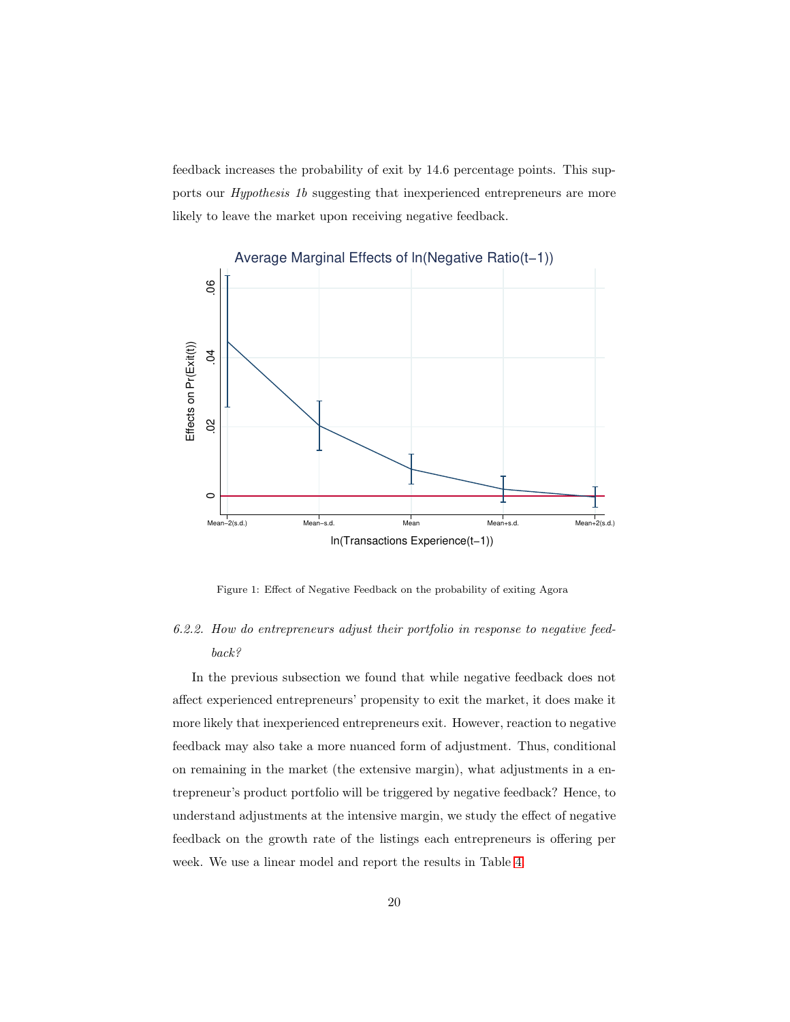feedback increases the probability of exit by 14.6 percentage points. This supports our *Hypothesis 1b* suggesting that inexperienced entrepreneurs are more likely to leave the market upon receiving negative feedback.



<span id="page-19-0"></span>Figure 1: Effect of Negative Feedback on the probability of exiting Agora

# *6.2.2. How do entrepreneurs adjust their portfolio in response to negative feedback?*

In the previous subsection we found that while negative feedback does not affect experienced entrepreneurs' propensity to exit the market, it does make it more likely that inexperienced entrepreneurs exit. However, reaction to negative feedback may also take a more nuanced form of adjustment. Thus, conditional on remaining in the market (the extensive margin), what adjustments in a entrepreneur's product portfolio will be triggered by negative feedback? Hence, to understand adjustments at the intensive margin, we study the effect of negative feedback on the growth rate of the listings each entrepreneurs is offering per week. We use a linear model and report the results in Table [4.](#page-21-0)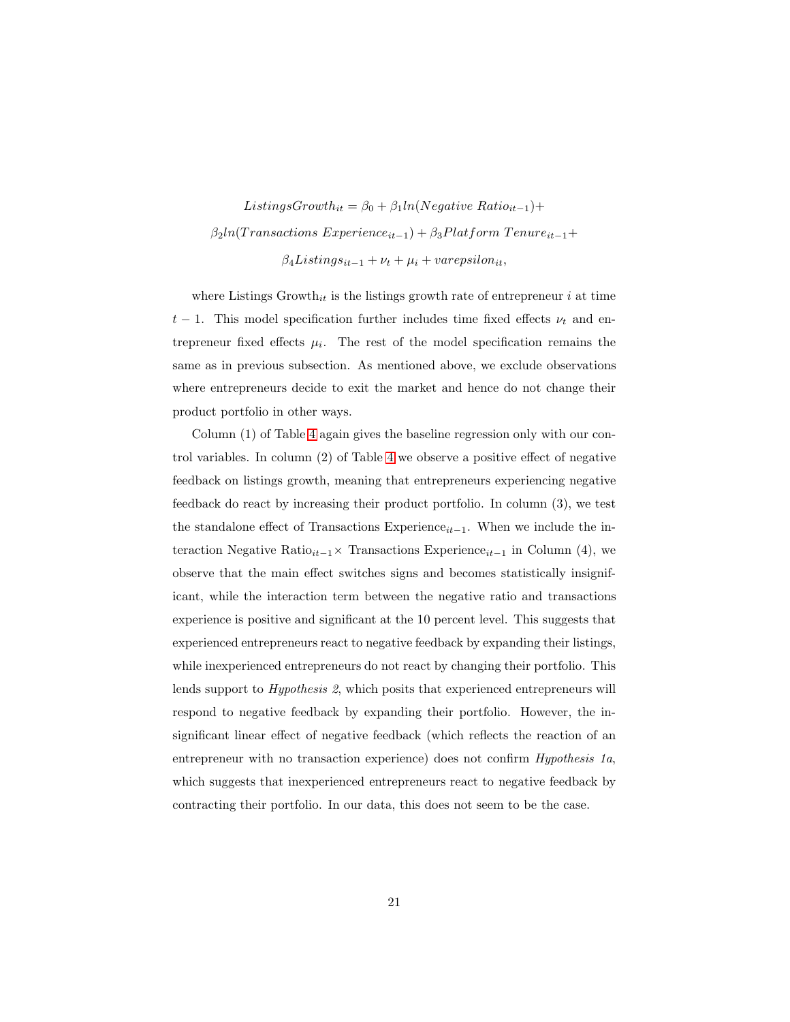ListingsGrowth<sub>it</sub> =  $\beta_0 + \beta_1 ln(Negative Ratio_{it-1}) +$  $\beta_2 ln(Transactions~Experience_{it-1}) + \beta_3 Platform~T enure_{it-1}+$  $\beta_4Listings_{it-1} + \nu_t + \mu_i + varepsilon_{lin},$ 

where Listings  $Growth_{it}$  is the listings growth rate of entrepreneur i at time  $t-1$ . This model specification further includes time fixed effects  $\nu_t$  and entrepreneur fixed effects  $\mu_i$ . The rest of the model specification remains the same as in previous subsection. As mentioned above, we exclude observations where entrepreneurs decide to exit the market and hence do not change their product portfolio in other ways.

Column (1) of Table [4](#page-21-0) again gives the baseline regression only with our control variables. In column (2) of Table [4](#page-21-0) we observe a positive effect of negative feedback on listings growth, meaning that entrepreneurs experiencing negative feedback do react by increasing their product portfolio. In column (3), we test the standalone effect of Transactions Experience<sub>it−1</sub>. When we include the interaction Negative Ratio<sub>it−1</sub>× Transactions Experience<sub>it−1</sub> in Column (4), we observe that the main effect switches signs and becomes statistically insignificant, while the interaction term between the negative ratio and transactions experience is positive and significant at the 10 percent level. This suggests that experienced entrepreneurs react to negative feedback by expanding their listings, while inexperienced entrepreneurs do not react by changing their portfolio. This lends support to *Hypothesis 2*, which posits that experienced entrepreneurs will respond to negative feedback by expanding their portfolio. However, the insignificant linear effect of negative feedback (which reflects the reaction of an entrepreneur with no transaction experience) does not confirm *Hypothesis 1a*, which suggests that inexperienced entrepreneurs react to negative feedback by contracting their portfolio. In our data, this does not seem to be the case.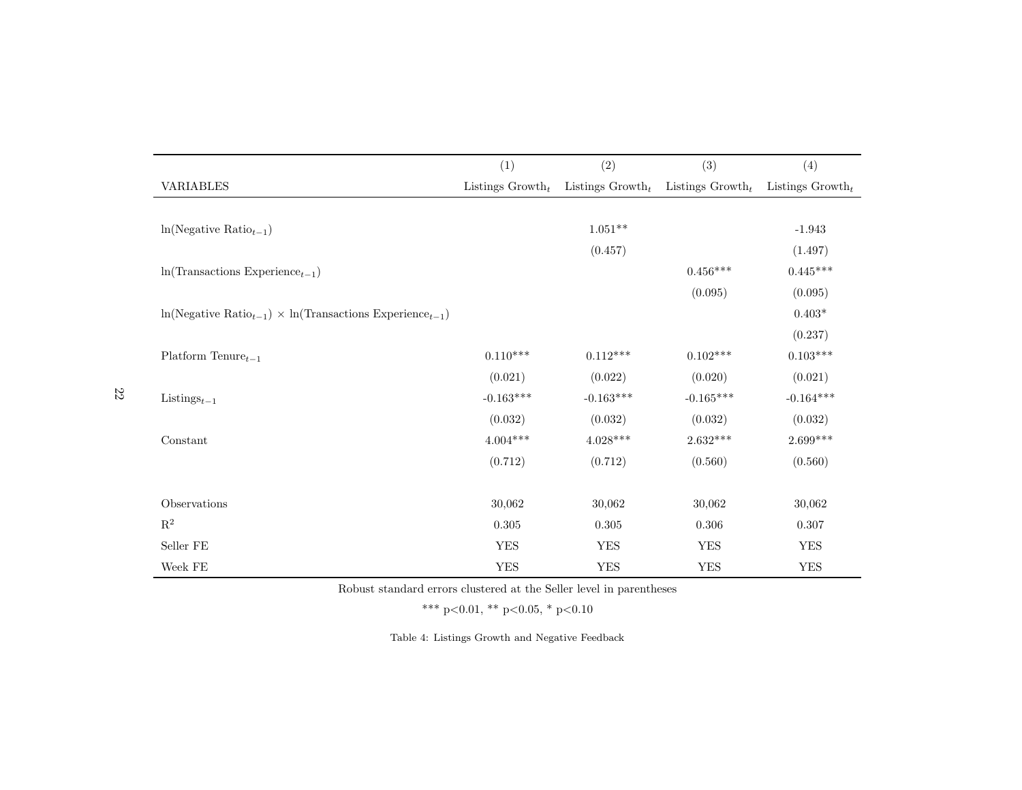|                                                                       | (1)                 | (2)                 | (3)                                     | (4)         |
|-----------------------------------------------------------------------|---------------------|---------------------|-----------------------------------------|-------------|
| <b>VARIABLES</b>                                                      | Listings $Growth_t$ | Listings $Growth_t$ | Listings $Growth_t$ Listings $Growth_t$ |             |
|                                                                       |                     |                     |                                         |             |
| $ln(Negative Ratiot-1)$                                               |                     | $1.051**$           |                                         | $-1.943$    |
|                                                                       |                     | (0.457)             |                                         | (1.497)     |
| $ln(Transactions$ Experience <sub>t-1</sub> )                         |                     |                     | $0.456***$                              | $0.445***$  |
|                                                                       |                     |                     | (0.095)                                 | (0.095)     |
| $\ln(Negative Ratio_{t-1}) \times \ln(Transactions Experience_{t-1})$ |                     |                     |                                         | $0.403*$    |
|                                                                       |                     |                     |                                         | (0.237)     |
| Platform Tenure $_{t-1}$                                              | $0.110***$          | $0.112***$          | $0.102***$                              | $0.103***$  |
|                                                                       | (0.021)             | (0.022)             | (0.020)                                 | (0.021)     |
| Listings <sub><math>t-1</math></sub>                                  | $-0.163***$         | $-0.163***$         | $-0.165***$                             | $-0.164***$ |
|                                                                       | (0.032)             | (0.032)             | (0.032)                                 | (0.032)     |
| Constant                                                              | $4.004***$          | $4.028***$          | $2.632***$                              | $2.699***$  |
|                                                                       | (0.712)             | (0.712)             | (0.560)                                 | (0.560)     |
|                                                                       |                     |                     |                                         |             |
| Observations                                                          | 30,062              | 30,062              | 30,062                                  | 30,062      |
| $\mathbf{R}^2$                                                        | 0.305               | 0.305               | 0.306                                   | 0.307       |
| Seller FE                                                             | <b>YES</b>          | <b>YES</b>          | <b>YES</b>                              | <b>YES</b>  |
| Week $\rm FE$                                                         | ${\rm YES}$         | ${\rm YES}$         | <b>YES</b>                              | ${\rm YES}$ |

Robust standard errors clustered at the Seller level in parentheses

\*\*\* p<0.01, \*\* p<0.05, \* p<0.10

<span id="page-21-0"></span>Table 4: Listings Growth and Negative Feedback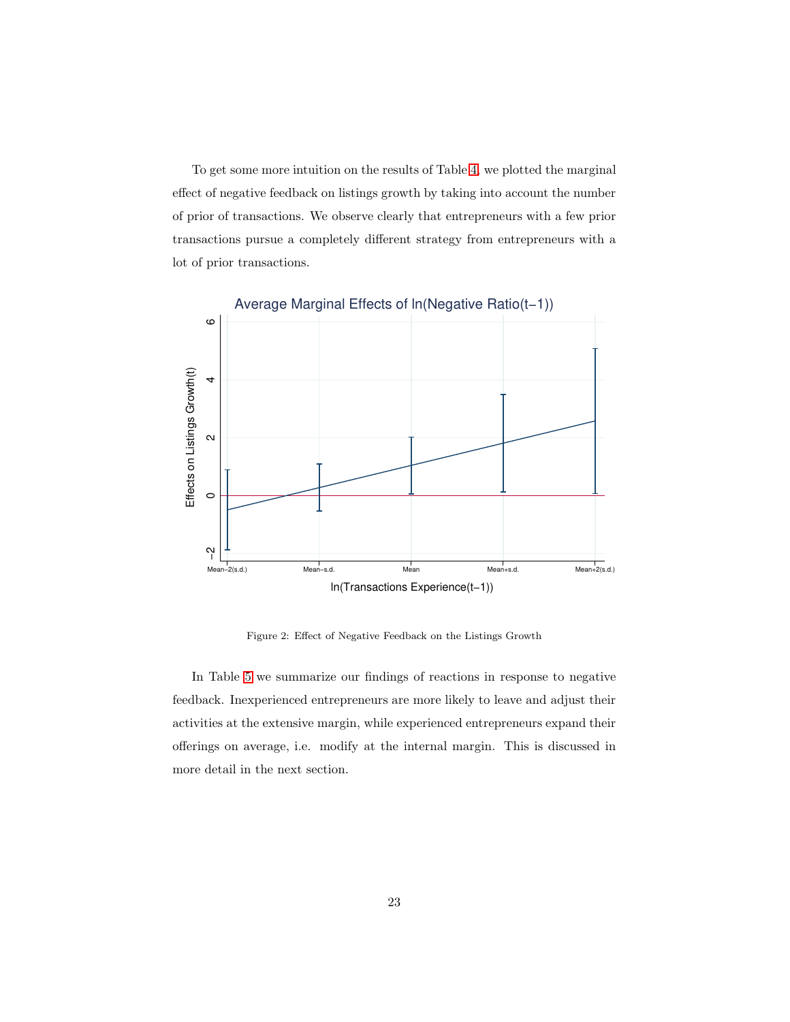To get some more intuition on the results of Table [4,](#page-21-0) we plotted the marginal effect of negative feedback on listings growth by taking into account the number of prior of transactions. We observe clearly that entrepreneurs with a few prior transactions pursue a completely different strategy from entrepreneurs with a lot of prior transactions.



Figure 2: Effect of Negative Feedback on the Listings Growth

In Table [5](#page-23-0) we summarize our findings of reactions in response to negative feedback. Inexperienced entrepreneurs are more likely to leave and adjust their activities at the extensive margin, while experienced entrepreneurs expand their offerings on average, i.e. modify at the internal margin. This is discussed in more detail in the next section.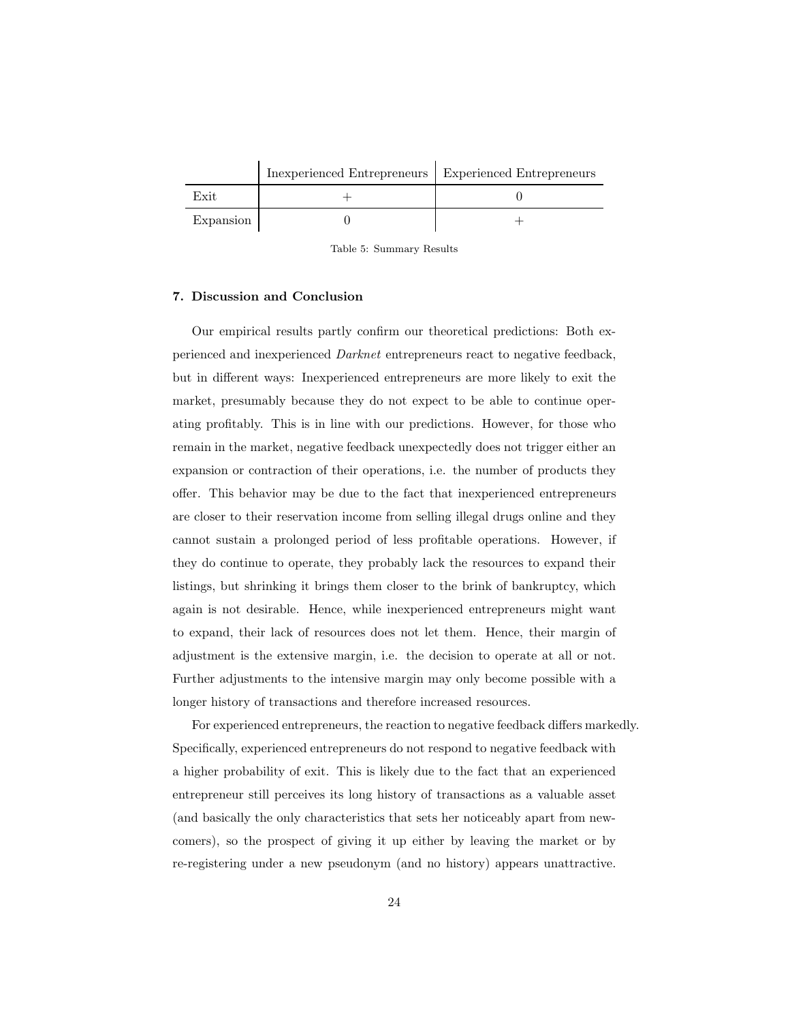|           | Inexperienced Entrepreneurs   Experienced Entrepreneurs |  |
|-----------|---------------------------------------------------------|--|
| Exit      |                                                         |  |
| Expansion |                                                         |  |

<span id="page-23-0"></span>Table 5: Summary Results

## 7. Discussion and Conclusion

Our empirical results partly confirm our theoretical predictions: Both experienced and inexperienced *Darknet* entrepreneurs react to negative feedback, but in different ways: Inexperienced entrepreneurs are more likely to exit the market, presumably because they do not expect to be able to continue operating profitably. This is in line with our predictions. However, for those who remain in the market, negative feedback unexpectedly does not trigger either an expansion or contraction of their operations, i.e. the number of products they offer. This behavior may be due to the fact that inexperienced entrepreneurs are closer to their reservation income from selling illegal drugs online and they cannot sustain a prolonged period of less profitable operations. However, if they do continue to operate, they probably lack the resources to expand their listings, but shrinking it brings them closer to the brink of bankruptcy, which again is not desirable. Hence, while inexperienced entrepreneurs might want to expand, their lack of resources does not let them. Hence, their margin of adjustment is the extensive margin, i.e. the decision to operate at all or not. Further adjustments to the intensive margin may only become possible with a longer history of transactions and therefore increased resources.

For experienced entrepreneurs, the reaction to negative feedback differs markedly. Specifically, experienced entrepreneurs do not respond to negative feedback with a higher probability of exit. This is likely due to the fact that an experienced entrepreneur still perceives its long history of transactions as a valuable asset (and basically the only characteristics that sets her noticeably apart from newcomers), so the prospect of giving it up either by leaving the market or by re-registering under a new pseudonym (and no history) appears unattractive.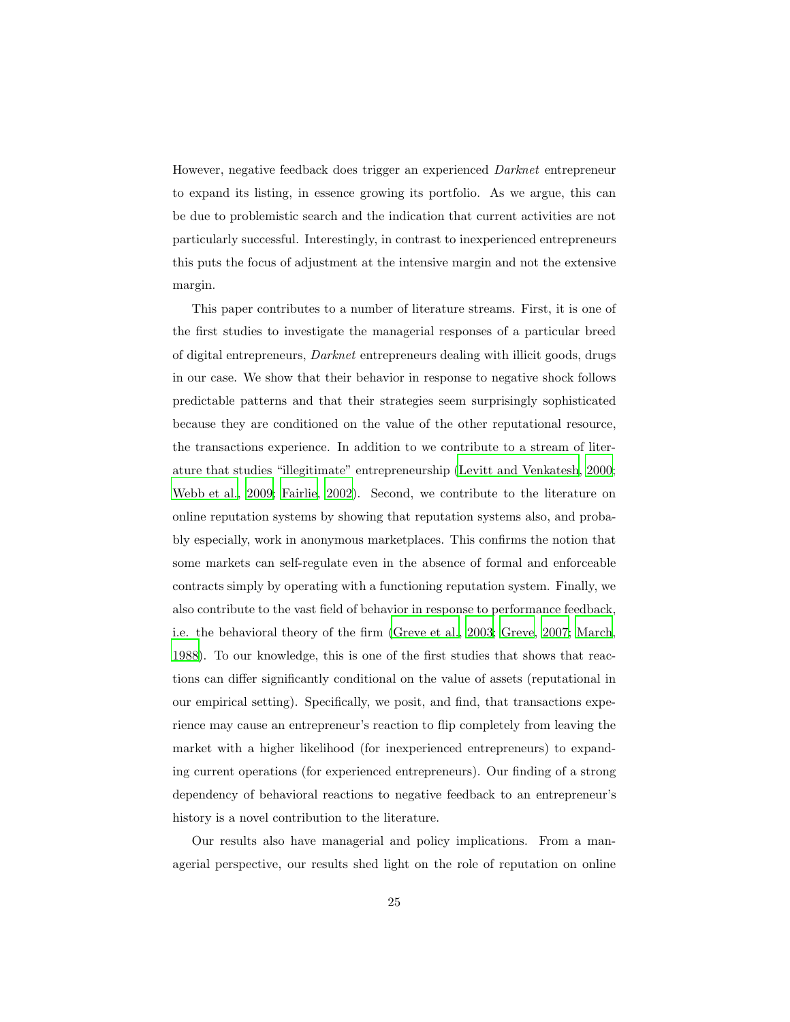However, negative feedback does trigger an experienced *Darknet* entrepreneur to expand its listing, in essence growing its portfolio. As we argue, this can be due to problemistic search and the indication that current activities are not particularly successful. Interestingly, in contrast to inexperienced entrepreneurs this puts the focus of adjustment at the intensive margin and not the extensive margin.

This paper contributes to a number of literature streams. First, it is one of the first studies to investigate the managerial responses of a particular breed of digital entrepreneurs, *Darknet* entrepreneurs dealing with illicit goods, drugs in our case. We show that their behavior in response to negative shock follows predictable patterns and that their strategies seem surprisingly sophisticated because they are conditioned on the value of the other reputational resource, the transactions experience. In addition to we contribute to a stream of literature that studies "illegitimate" entrepreneurship [\(Levitt and Venkatesh, 2000;](#page-31-1) [Webb et al.](#page-34-6), [2009;](#page-34-6) [Fairlie, 2002\)](#page-29-7). Second, we contribute to the literature on online reputation systems by showing that reputation systems also, and probably especially, work in anonymous marketplaces. This confirms the notion that some markets can self-regulate even in the absence of formal and enforceable contracts simply by operating with a functioning reputation system. Finally, we also contribute to the vast field of behavior in response to performance feedback, i.e. the behavioral theory of the firm [\(Greve et al., 2003](#page-30-7); [Greve](#page-30-8), [2007;](#page-30-8) [March,](#page-31-7) [1988\)](#page-31-7). To our knowledge, this is one of the first studies that shows that reactions can differ significantly conditional on the value of assets (reputational in our empirical setting). Specifically, we posit, and find, that transactions experience may cause an entrepreneur's reaction to flip completely from leaving the market with a higher likelihood (for inexperienced entrepreneurs) to expanding current operations (for experienced entrepreneurs). Our finding of a strong dependency of behavioral reactions to negative feedback to an entrepreneur's history is a novel contribution to the literature.

Our results also have managerial and policy implications. From a managerial perspective, our results shed light on the role of reputation on online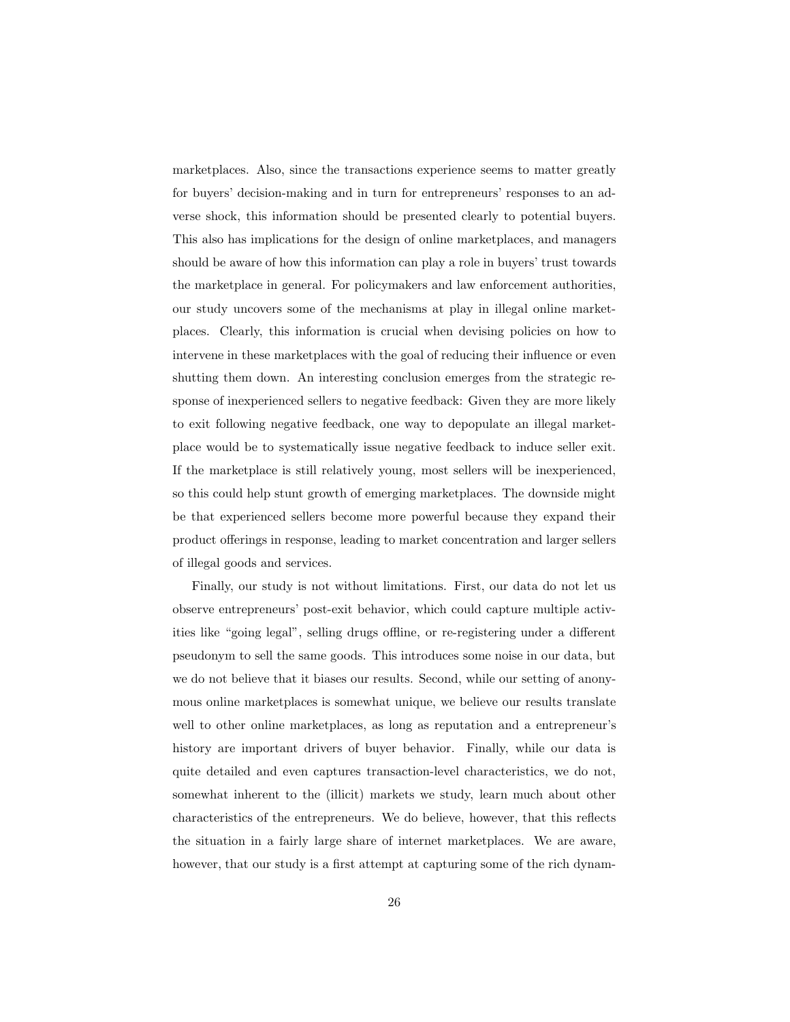marketplaces. Also, since the transactions experience seems to matter greatly for buyers' decision-making and in turn for entrepreneurs' responses to an adverse shock, this information should be presented clearly to potential buyers. This also has implications for the design of online marketplaces, and managers should be aware of how this information can play a role in buyers' trust towards the marketplace in general. For policymakers and law enforcement authorities, our study uncovers some of the mechanisms at play in illegal online marketplaces. Clearly, this information is crucial when devising policies on how to intervene in these marketplaces with the goal of reducing their influence or even shutting them down. An interesting conclusion emerges from the strategic response of inexperienced sellers to negative feedback: Given they are more likely to exit following negative feedback, one way to depopulate an illegal marketplace would be to systematically issue negative feedback to induce seller exit. If the marketplace is still relatively young, most sellers will be inexperienced, so this could help stunt growth of emerging marketplaces. The downside might be that experienced sellers become more powerful because they expand their product offerings in response, leading to market concentration and larger sellers of illegal goods and services.

Finally, our study is not without limitations. First, our data do not let us observe entrepreneurs' post-exit behavior, which could capture multiple activities like "going legal", selling drugs offline, or re-registering under a different pseudonym to sell the same goods. This introduces some noise in our data, but we do not believe that it biases our results. Second, while our setting of anonymous online marketplaces is somewhat unique, we believe our results translate well to other online marketplaces, as long as reputation and a entrepreneur's history are important drivers of buyer behavior. Finally, while our data is quite detailed and even captures transaction-level characteristics, we do not, somewhat inherent to the (illicit) markets we study, learn much about other characteristics of the entrepreneurs. We do believe, however, that this reflects the situation in a fairly large share of internet marketplaces. We are aware, however, that our study is a first attempt at capturing some of the rich dynam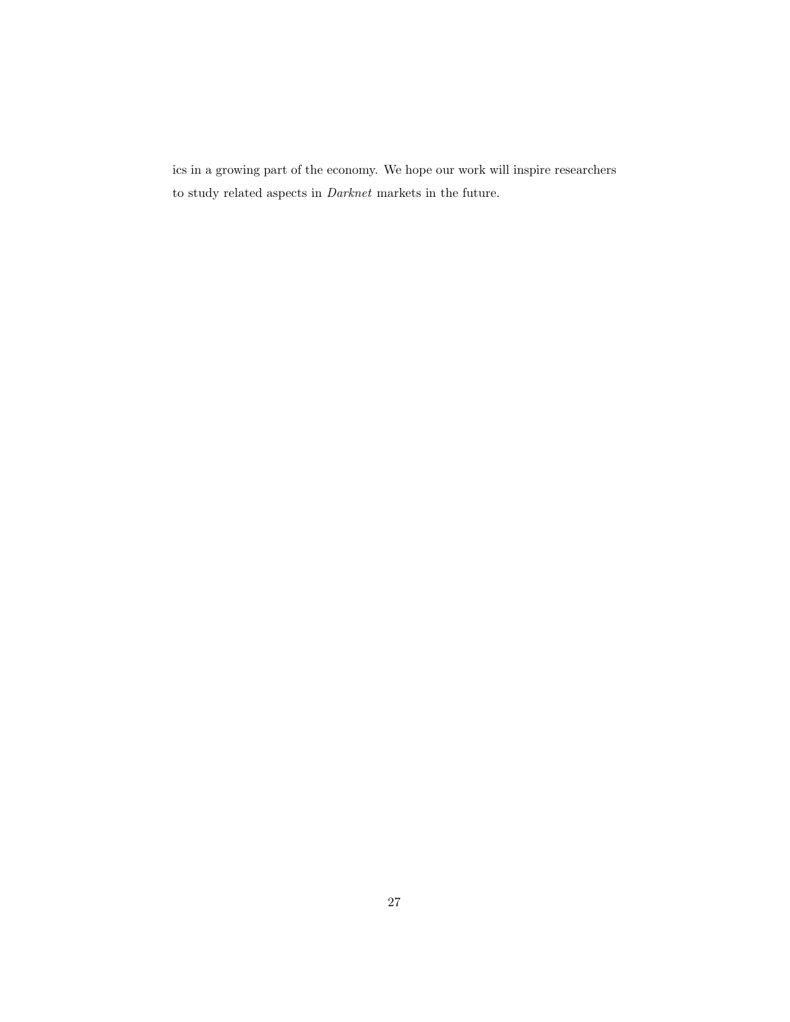ics in a growing part of the economy. We hope our work will inspire researchers to study related aspects in *Darknet* markets in the future.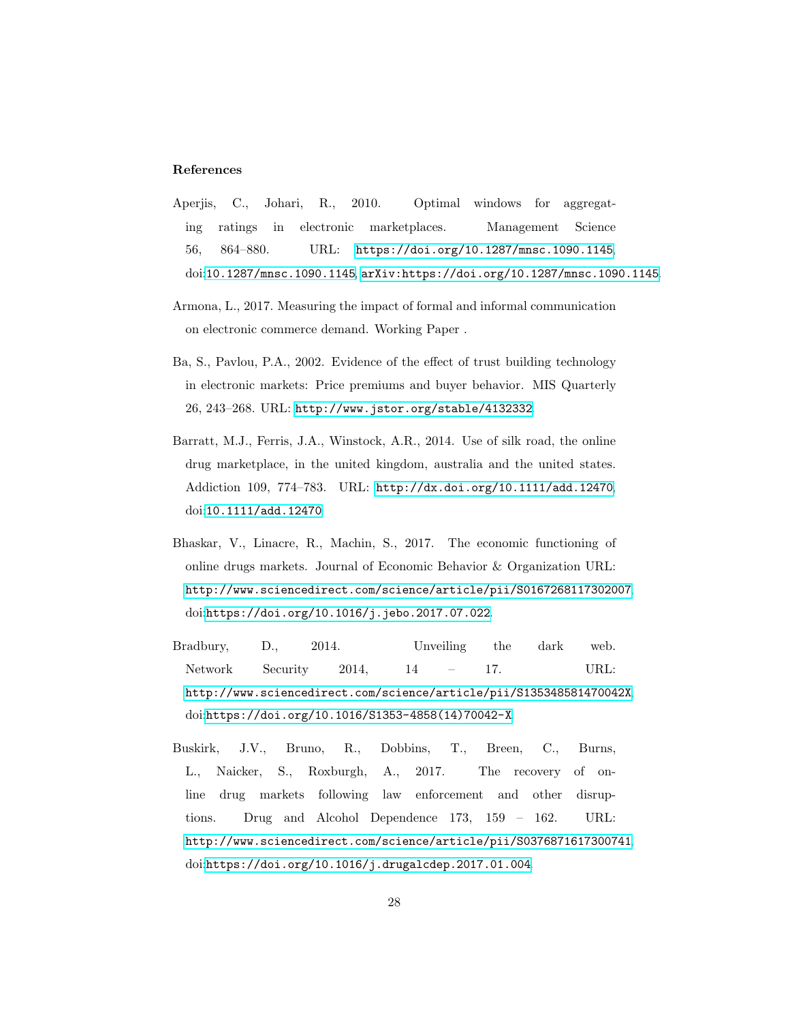#### References

- <span id="page-27-3"></span>Aperjis, C., Johari, R., 2010. Optimal windows for aggregating ratings in electronic marketplaces. Management Science 56, 864–880. URL: <https://doi.org/10.1287/mnsc.1090.1145>, doi:[10.1287/mnsc.1090.1145](http://dx.doi.org/10.1287/mnsc.1090.1145), [arXiv:https://doi.org/10.1287/mnsc.1090.1145](http://arxiv.org/abs/https://doi.org/10.1287/mnsc.1090.1145).
- <span id="page-27-5"></span>Armona, L., 2017. Measuring the impact of formal and informal communication on electronic commerce demand. Working Paper .
- <span id="page-27-6"></span>Ba, S., Pavlou, P.A., 2002. Evidence of the effect of trust building technology in electronic markets: Price premiums and buyer behavior. MIS Quarterly 26, 243–268. URL: <http://www.jstor.org/stable/4132332>.
- <span id="page-27-1"></span>Barratt, M.J., Ferris, J.A., Winstock, A.R., 2014. Use of silk road, the online drug marketplace, in the united kingdom, australia and the united states. Addiction 109, 774–783. URL: <http://dx.doi.org/10.1111/add.12470>, doi:[10.1111/add.12470](http://dx.doi.org/10.1111/add.12470).
- <span id="page-27-0"></span>Bhaskar, V., Linacre, R., Machin, S., 2017. The economic functioning of online drugs markets. Journal of Economic Behavior & Organization URL: <http://www.sciencedirect.com/science/article/pii/S0167268117302007>, doi:[https://doi.org/10.1016/j.jebo.2017.07.022](http://dx.doi.org/https://doi.org/10.1016/j.jebo.2017.07.022).
- <span id="page-27-2"></span>Bradbury, D., 2014. Unveiling the dark web. Network Security 2014, 14 – 17. URL: <http://www.sciencedirect.com/science/article/pii/S135348581470042X>, doi:[https://doi.org/10.1016/S1353-4858\(14\)70042-X](http://dx.doi.org/https://doi.org/10.1016/S1353-4858(14)70042-X).
- <span id="page-27-4"></span>Buskirk, J.V., Bruno, R., Dobbins, T., Breen, C., Burns, L., Naicker, S., Roxburgh, A., 2017. The recovery of online drug markets following law enforcement and other disruptions. Drug and Alcohol Dependence 173, 159 – 162. URL: <http://www.sciencedirect.com/science/article/pii/S0376871617300741>, doi:[https://doi.org/10.1016/j.drugalcdep.2017.01.004](http://dx.doi.org/https://doi.org/10.1016/j.drugalcdep.2017.01.004).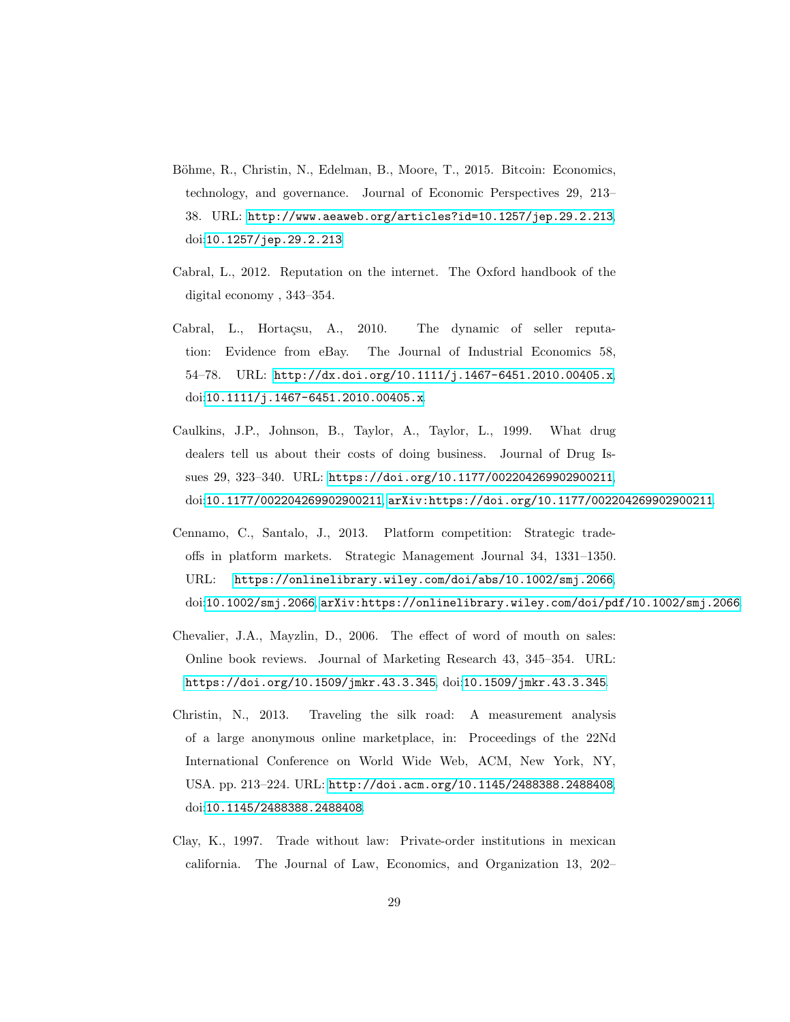- <span id="page-28-2"></span>Böhme, R., Christin, N., Edelman, B., Moore, T., 2015. Bitcoin: Economics, technology, and governance. Journal of Economic Perspectives 29, 213– 38. URL: <http://www.aeaweb.org/articles?id=10.1257/jep.29.2.213>, doi:[10.1257/jep.29.2.213](http://dx.doi.org/10.1257/jep.29.2.213).
- <span id="page-28-5"></span>Cabral, L., 2012. Reputation on the internet. The Oxford handbook of the digital economy , 343–354.
- <span id="page-28-7"></span>Cabral, L., Hortaçsu, A., 2010. The dynamic of seller reputation: Evidence from eBay. The Journal of Industrial Economics 58, 54–78. URL: <http://dx.doi.org/10.1111/j.1467-6451.2010.00405.x>, doi:[10.1111/j.1467-6451.2010.00405.x](http://dx.doi.org/10.1111/j.1467-6451.2010.00405.x).
- <span id="page-28-4"></span>Caulkins, J.P., Johnson, B., Taylor, A., Taylor, L., 1999. What drug dealers tell us about their costs of doing business. Journal of Drug Issues 29, 323–340. URL: <https://doi.org/10.1177/002204269902900211>, doi:[10.1177/002204269902900211](http://dx.doi.org/10.1177/002204269902900211), [arXiv:https://doi.org/10.1177/002204269902900211](http://arxiv.org/abs/https://doi.org/10.1177/002204269902900211).
- <span id="page-28-3"></span>Cennamo, C., Santalo, J., 2013. Platform competition: Strategic tradeoffs in platform markets. Strategic Management Journal 34, 1331–1350. URL: <https://onlinelibrary.wiley.com/doi/abs/10.1002/smj.2066>, doi:[10.1002/smj.2066](http://dx.doi.org/10.1002/smj.2066), [arXiv:https://onlinelibrary.wiley.com/doi/pdf/10.1002/smj.2066](http://arxiv.org/abs/https://onlinelibrary.wiley.com/doi/pdf/10.1002/smj.2066).
- <span id="page-28-6"></span>Chevalier, J.A., Mayzlin, D., 2006. The effect of word of mouth on sales: Online book reviews. Journal of Marketing Research 43, 345–354. URL: <https://doi.org/10.1509/jmkr.43.3.345>, doi:[10.1509/jmkr.43.3.345](http://dx.doi.org/10.1509/jmkr.43.3.345).
- <span id="page-28-1"></span>Christin, N., 2013. Traveling the silk road: A measurement analysis of a large anonymous online marketplace, in: Proceedings of the 22Nd International Conference on World Wide Web, ACM, New York, NY, USA. pp. 213–224. URL: <http://doi.acm.org/10.1145/2488388.2488408>, doi:[10.1145/2488388.2488408](http://dx.doi.org/10.1145/2488388.2488408).
- <span id="page-28-0"></span>Clay, K., 1997. Trade without law: Private-order institutions in mexican california. The Journal of Law, Economics, and Organization 13, 202–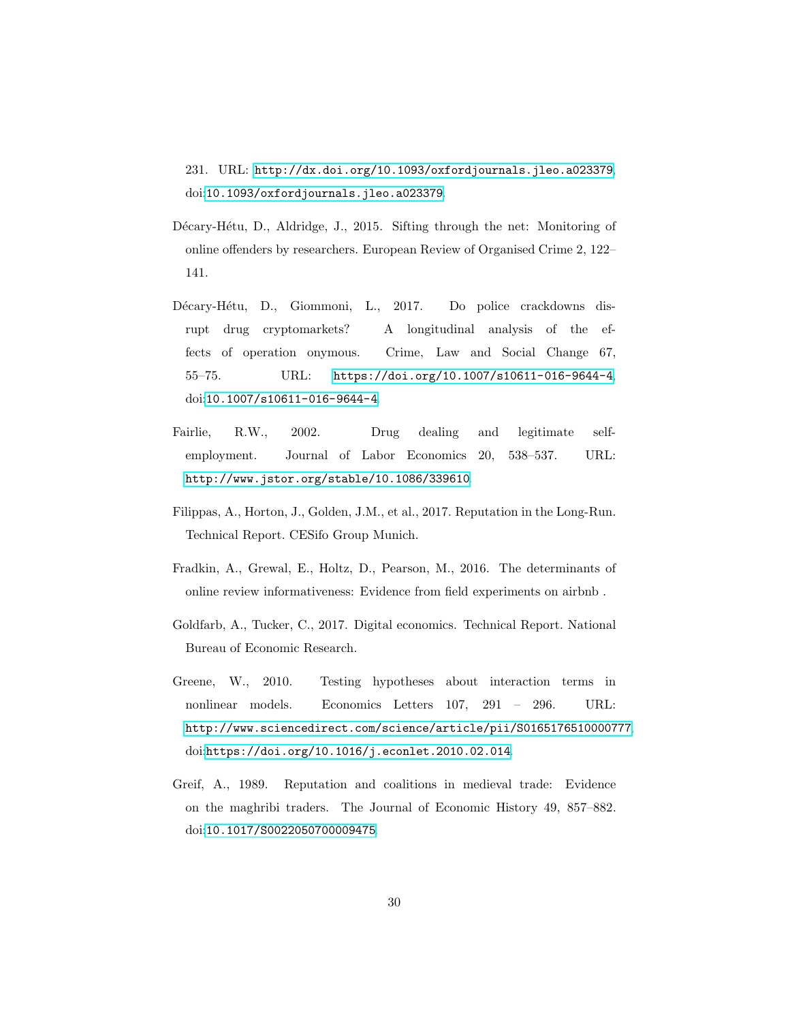231. URL: <http://dx.doi.org/10.1093/oxfordjournals.jleo.a023379>, doi:[10.1093/oxfordjournals.jleo.a023379](http://dx.doi.org/10.1093/oxfordjournals.jleo.a023379).

- <span id="page-29-2"></span>Décary-Hétu, D., Aldridge, J., 2015. Sifting through the net: Monitoring of online offenders by researchers. European Review of Organised Crime 2, 122– 141.
- <span id="page-29-3"></span>Décary-Hétu, D., Giommoni, L., 2017. Do police crackdowns disrupt drug cryptomarkets? A longitudinal analysis of the effects of operation onymous. Crime, Law and Social Change 67, 55–75. URL: <https://doi.org/10.1007/s10611-016-9644-4>, doi:[10.1007/s10611-016-9644-4](http://dx.doi.org/10.1007/s10611-016-9644-4).
- <span id="page-29-7"></span>Fairlie, R.W., 2002. Drug dealing and legitimate selfemployment. Journal of Labor Economics 20, 538–537. URL: <http://www.jstor.org/stable/10.1086/339610>.
- <span id="page-29-5"></span>Filippas, A., Horton, J., Golden, J.M., et al., 2017. Reputation in the Long-Run. Technical Report. CESifo Group Munich.
- <span id="page-29-4"></span>Fradkin, A., Grewal, E., Holtz, D., Pearson, M., 2016. The determinants of online review informativeness: Evidence from field experiments on airbnb .
- <span id="page-29-0"></span>Goldfarb, A., Tucker, C., 2017. Digital economics. Technical Report. National Bureau of Economic Research.
- <span id="page-29-6"></span>Greene, W., 2010. Testing hypotheses about interaction terms in nonlinear models. Economics Letters 107, 291 – 296. URL: <http://www.sciencedirect.com/science/article/pii/S0165176510000777>, doi:[https://doi.org/10.1016/j.econlet.2010.02.014](http://dx.doi.org/https://doi.org/10.1016/j.econlet.2010.02.014).
- <span id="page-29-1"></span>Greif, A., 1989. Reputation and coalitions in medieval trade: Evidence on the maghribi traders. The Journal of Economic History 49, 857–882. doi:[10.1017/S0022050700009475](http://dx.doi.org/10.1017/S0022050700009475).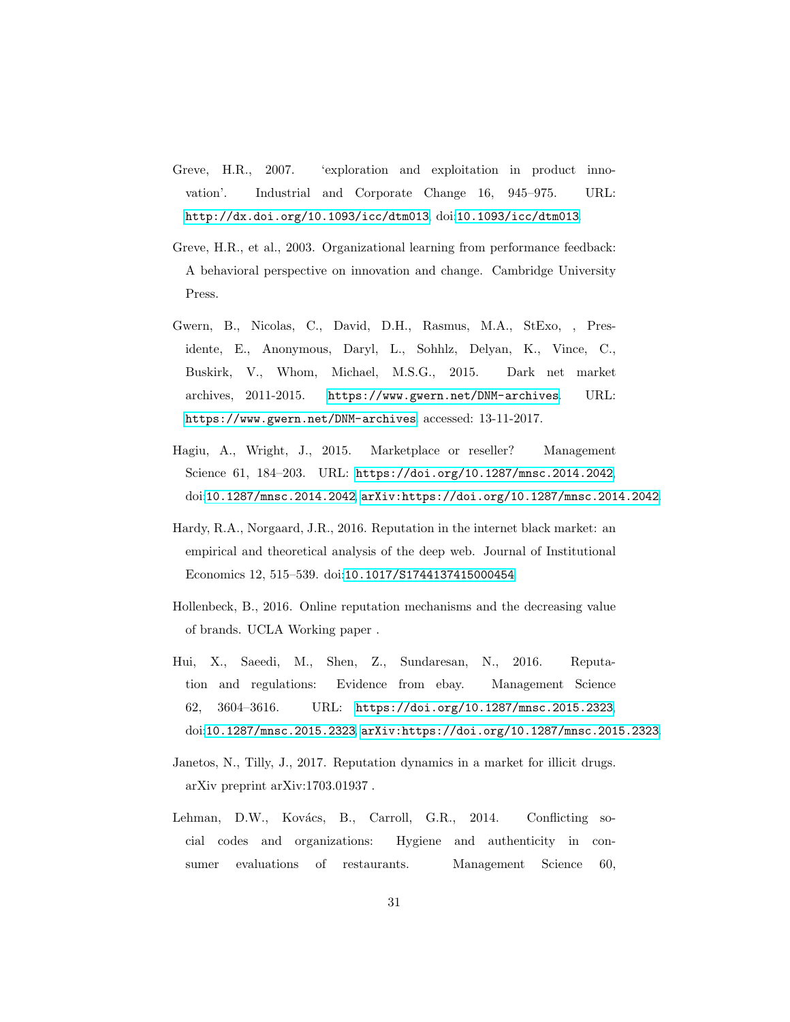- <span id="page-30-8"></span>Greve, H.R., 2007. 'exploration and exploitation in product innovation'. Industrial and Corporate Change 16, 945–975. URL: <http://dx.doi.org/10.1093/icc/dtm013>, doi:[10.1093/icc/dtm013](http://dx.doi.org/10.1093/icc/dtm013).
- <span id="page-30-7"></span>Greve, H.R., et al., 2003. Organizational learning from performance feedback: A behavioral perspective on innovation and change. Cambridge University Press.
- <span id="page-30-6"></span>Gwern, B., Nicolas, C., David, D.H., Rasmus, M.A., StExo, , Presidente, E., Anonymous, Daryl, L., Sohhlz, Delyan, K., Vince, C., Buskirk, V., Whom, Michael, M.S.G., 2015. Dark net market archives, 2011-2015. <https://www.gwern.net/DNM-archives>. URL: <https://www.gwern.net/DNM-archives>. accessed: 13-11-2017.
- <span id="page-30-1"></span>Hagiu, A., Wright, J., 2015. Marketplace or reseller? Management Science 61, 184–203. URL: <https://doi.org/10.1287/mnsc.2014.2042>, doi:[10.1287/mnsc.2014.2042](http://dx.doi.org/10.1287/mnsc.2014.2042), [arXiv:https://doi.org/10.1287/mnsc.2014.2042](http://arxiv.org/abs/https://doi.org/10.1287/mnsc.2014.2042).
- <span id="page-30-0"></span>Hardy, R.A., Norgaard, J.R., 2016. Reputation in the internet black market: an empirical and theoretical analysis of the deep web. Journal of Institutional Economics 12, 515–539. doi:[10.1017/S1744137415000454](http://dx.doi.org/10.1017/S1744137415000454).
- <span id="page-30-4"></span>Hollenbeck, B., 2016. Online reputation mechanisms and the decreasing value of brands. UCLA Working paper .
- <span id="page-30-2"></span>Hui, X., Saeedi, M., Shen, Z., Sundaresan, N., 2016. Reputation and regulations: Evidence from ebay. Management Science 62, 3604–3616. URL: <https://doi.org/10.1287/mnsc.2015.2323>, doi:[10.1287/mnsc.2015.2323](http://dx.doi.org/10.1287/mnsc.2015.2323), [arXiv:https://doi.org/10.1287/mnsc.2015.2323](http://arxiv.org/abs/https://doi.org/10.1287/mnsc.2015.2323).
- <span id="page-30-3"></span>Janetos, N., Tilly, J., 2017. Reputation dynamics in a market for illicit drugs. arXiv preprint arXiv:1703.01937 .
- <span id="page-30-5"></span>Lehman, D.W., Kovács, B., Carroll, G.R., 2014. Conflicting social codes and organizations: Hygiene and authenticity in consumer evaluations of restaurants. Management Science 60,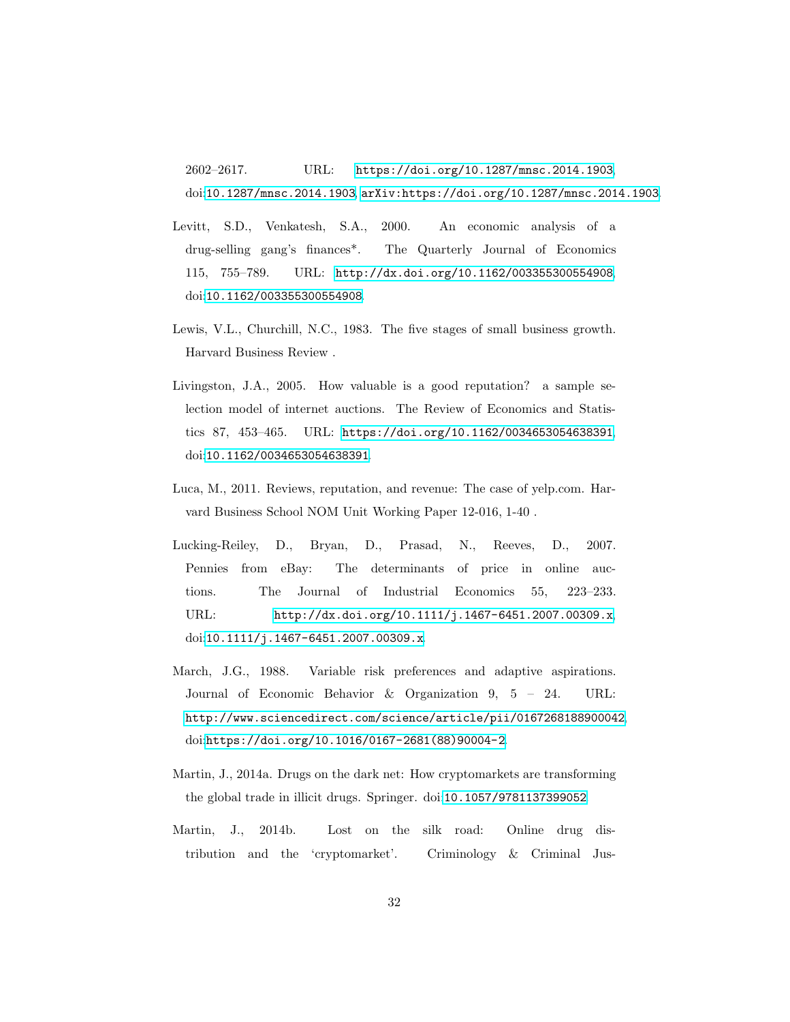2602–2617. URL: <https://doi.org/10.1287/mnsc.2014.1903>, doi:[10.1287/mnsc.2014.1903](http://dx.doi.org/10.1287/mnsc.2014.1903), [arXiv:https://doi.org/10.1287/mnsc.2014.1903](http://arxiv.org/abs/https://doi.org/10.1287/mnsc.2014.1903).

- <span id="page-31-1"></span>Levitt, S.D., Venkatesh, S.A., 2000. An economic analysis of a drug-selling gang's finances\*. The Quarterly Journal of Economics 115, 755–789. URL: <http://dx.doi.org/10.1162/003355300554908>, doi:[10.1162/003355300554908](http://dx.doi.org/10.1162/003355300554908).
- <span id="page-31-0"></span>Lewis, V.L., Churchill, N.C., 1983. The five stages of small business growth. Harvard Business Review .
- <span id="page-31-4"></span>Livingston, J.A., 2005. How valuable is a good reputation? a sample selection model of internet auctions. The Review of Economics and Statistics 87, 453–465. URL: <https://doi.org/10.1162/0034653054638391>, doi:[10.1162/0034653054638391](http://dx.doi.org/10.1162/0034653054638391).
- <span id="page-31-6"></span>Luca, M., 2011. Reviews, reputation, and revenue: The case of yelp.com. Harvard Business School NOM Unit Working Paper 12-016, 1-40 .
- <span id="page-31-5"></span>Lucking-Reiley, D., Bryan, D., Prasad, N., Reeves, D., 2007. Pennies from eBay: The determinants of price in online auctions. The Journal of Industrial Economics 55, 223–233. URL: <http://dx.doi.org/10.1111/j.1467-6451.2007.00309.x>, doi:[10.1111/j.1467-6451.2007.00309.x](http://dx.doi.org/10.1111/j.1467-6451.2007.00309.x).
- <span id="page-31-7"></span>March, J.G., 1988. Variable risk preferences and adaptive aspirations. Journal of Economic Behavior & Organization 9, 5 – 24. URL: <http://www.sciencedirect.com/science/article/pii/0167268188900042>, doi:[https://doi.org/10.1016/0167-2681\(88\)90004-2](http://dx.doi.org/https://doi.org/10.1016/0167-2681(88)90004-2).
- <span id="page-31-3"></span>Martin, J., 2014a. Drugs on the dark net: How cryptomarkets are transforming the global trade in illicit drugs. Springer. doi:[10.1057/9781137399052](http://dx.doi.org/10.1057/9781137399052).
- <span id="page-31-2"></span>Martin, J., 2014b. Lost on the silk road: Online drug distribution and the 'cryptomarket'. Criminology & Criminal Jus-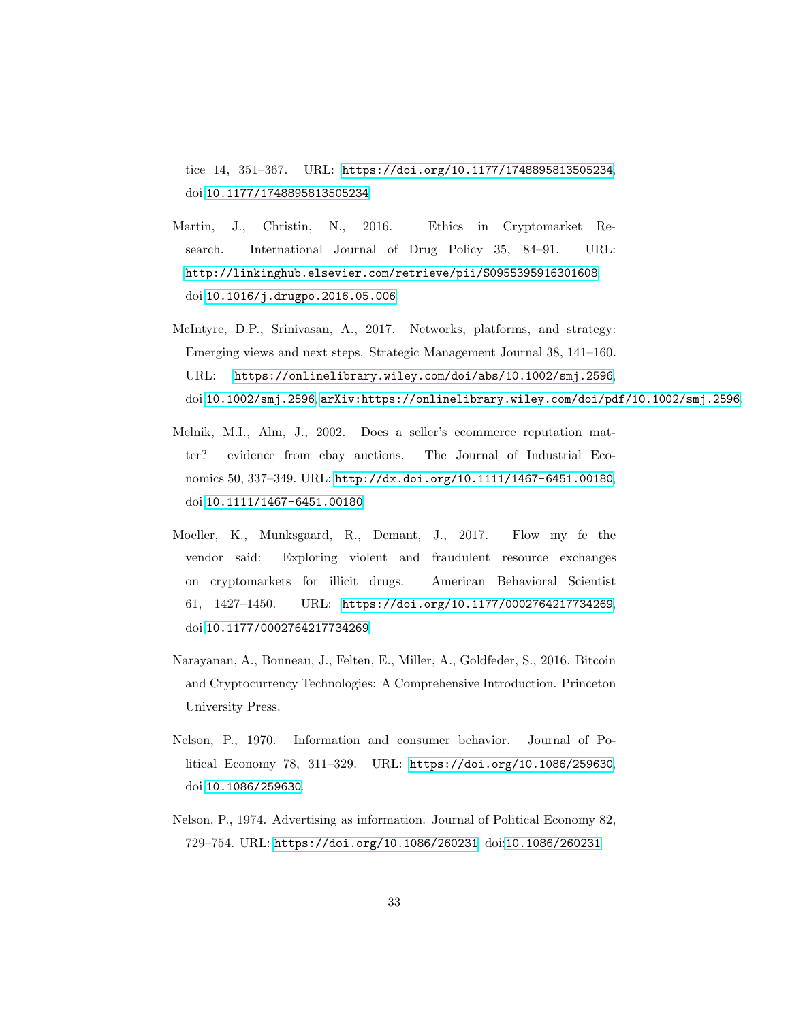tice 14, 351–367. URL: <https://doi.org/10.1177/1748895813505234>, doi:[10.1177/1748895813505234](http://dx.doi.org/10.1177/1748895813505234).

- <span id="page-32-4"></span>Martin, J., Christin, N., 2016. Ethics in Cryptomarket Research. International Journal of Drug Policy 35, 84–91. URL: <http://linkinghub.elsevier.com/retrieve/pii/S0955395916301608>, doi:[10.1016/j.drugpo.2016.05.006](http://dx.doi.org/10.1016/j.drugpo.2016.05.006).
- <span id="page-32-3"></span>McIntyre, D.P., Srinivasan, A., 2017. Networks, platforms, and strategy: Emerging views and next steps. Strategic Management Journal 38, 141–160. URL: <https://onlinelibrary.wiley.com/doi/abs/10.1002/smj.2596>, doi:[10.1002/smj.2596](http://dx.doi.org/10.1002/smj.2596), [arXiv:https://onlinelibrary.wiley.com/doi/pdf/10.1002/smj.2596](http://arxiv.org/abs/https://onlinelibrary.wiley.com/doi/pdf/10.1002/smj.2596).
- <span id="page-32-6"></span>Melnik, M.I., Alm, J., 2002. Does a seller's ecommerce reputation matter? evidence from ebay auctions. The Journal of Industrial Economics 50, 337–349. URL: <http://dx.doi.org/10.1111/1467-6451.00180>, doi:[10.1111/1467-6451.00180](http://dx.doi.org/10.1111/1467-6451.00180).
- <span id="page-32-5"></span>Moeller, K., Munksgaard, R., Demant, J., 2017. Flow my fe the vendor said: Exploring violent and fraudulent resource exchanges on cryptomarkets for illicit drugs. American Behavioral Scientist 61, 1427–1450. URL: <https://doi.org/10.1177/0002764217734269>, doi:[10.1177/0002764217734269](http://dx.doi.org/10.1177/0002764217734269).
- <span id="page-32-2"></span>Narayanan, A., Bonneau, J., Felten, E., Miller, A., Goldfeder, S., 2016. Bitcoin and Cryptocurrency Technologies: A Comprehensive Introduction. Princeton University Press.
- <span id="page-32-0"></span>Nelson, P., 1970. Information and consumer behavior. Journal of Political Economy 78, 311–329. URL: <https://doi.org/10.1086/259630>, doi:[10.1086/259630](http://dx.doi.org/10.1086/259630).
- <span id="page-32-1"></span>Nelson, P., 1974. Advertising as information. Journal of Political Economy 82, 729–754. URL: <https://doi.org/10.1086/260231>, doi:[10.1086/260231](http://dx.doi.org/10.1086/260231).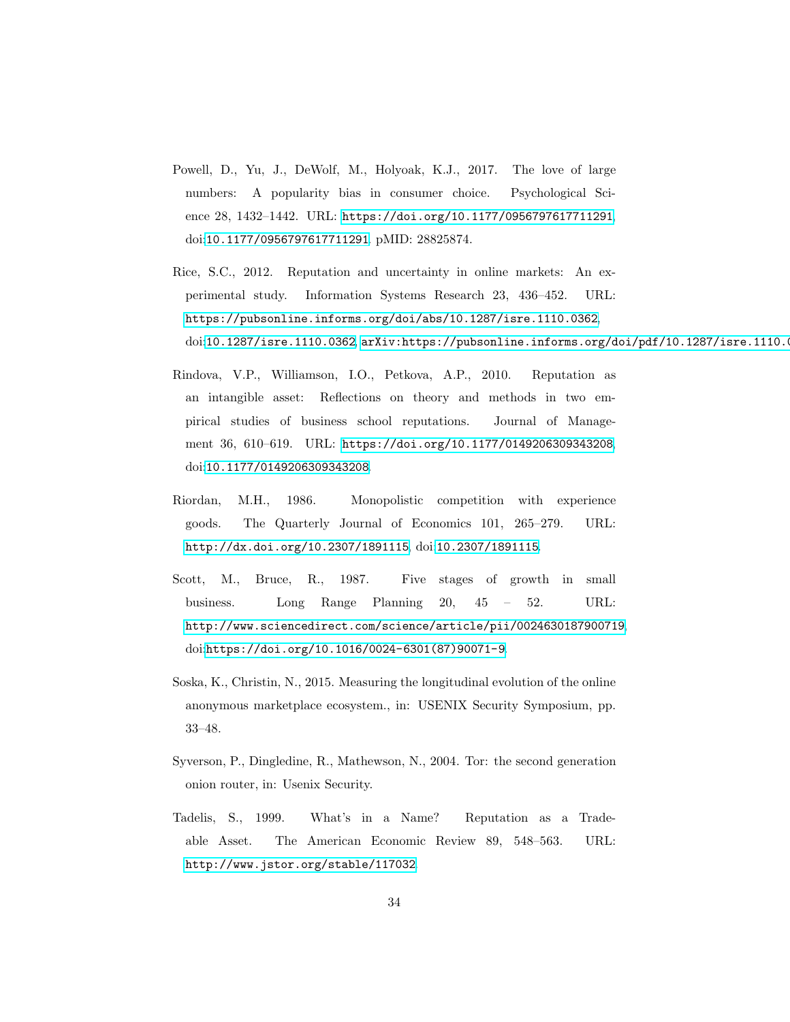- <span id="page-33-7"></span>Powell, D., Yu, J., DeWolf, M., Holyoak, K.J., 2017. The love of large numbers: A popularity bias in consumer choice. Psychological Science 28, 1432–1442. URL: <https://doi.org/10.1177/0956797617711291>, doi:[10.1177/0956797617711291](http://dx.doi.org/10.1177/0956797617711291). pMID: 28825874.
- <span id="page-33-6"></span>Rice, S.C., 2012. Reputation and uncertainty in online markets: An experimental study. Information Systems Research 23, 436–452. URL: <https://pubsonline.informs.org/doi/abs/10.1287/isre.1110.0362>, doi:[10.1287/isre.1110.0362](http://dx.doi.org/10.1287/isre.1110.0362), [arXiv:https://pubsonline.informs.org/doi/pdf/10.1287/isre.1110.0](http://arxiv.org/abs/https://pubsonline.informs.org/doi/pdf/10.1287/isre.1110.0362)
- <span id="page-33-3"></span>Rindova, V.P., Williamson, I.O., Petkova, A.P., 2010. Reputation as an intangible asset: Reflections on theory and methods in two empirical studies of business school reputations. Journal of Management 36, 610–619. URL: <https://doi.org/10.1177/0149206309343208>, doi:[10.1177/0149206309343208](http://dx.doi.org/10.1177/0149206309343208).
- <span id="page-33-1"></span>Riordan, M.H., 1986. Monopolistic competition with experience goods. The Quarterly Journal of Economics 101, 265–279. URL: <http://dx.doi.org/10.2307/1891115>, doi:[10.2307/1891115](http://dx.doi.org/10.2307/1891115).
- <span id="page-33-0"></span>Scott, M., Bruce, R., 1987. Five stages of growth in small business. Long Range Planning 20, 45 – 52. URL: <http://www.sciencedirect.com/science/article/pii/0024630187900719>, doi:[https://doi.org/10.1016/0024-6301\(87\)90071-9](http://dx.doi.org/https://doi.org/10.1016/0024-6301(87)90071-9).
- <span id="page-33-5"></span>Soska, K., Christin, N., 2015. Measuring the longitudinal evolution of the online anonymous marketplace ecosystem., in: USENIX Security Symposium, pp. 33–48.
- <span id="page-33-4"></span>Syverson, P., Dingledine, R., Mathewson, N., 2004. Tor: the second generation onion router, in: Usenix Security.
- <span id="page-33-2"></span>Tadelis, S., 1999. What's in a Name? Reputation as a Tradeable Asset. The American Economic Review 89, 548–563. URL: <http://www.jstor.org/stable/117032>.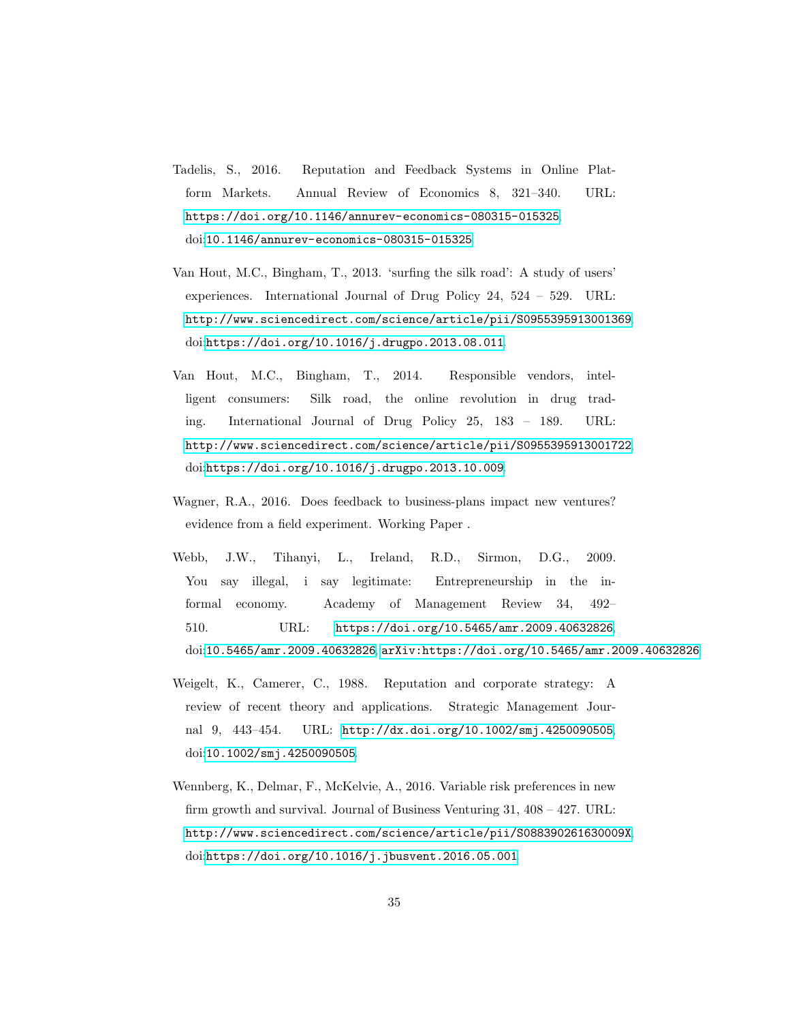- <span id="page-34-3"></span>Tadelis, S., 2016. Reputation and Feedback Systems in Online Platform Markets. Annual Review of Economics 8, 321–340. URL: <https://doi.org/10.1146/annurev-economics-080315-015325>, doi:[10.1146/annurev-economics-080315-015325](http://dx.doi.org/10.1146/annurev-economics-080315-015325).
- <span id="page-34-1"></span>Van Hout, M.C., Bingham, T., 2013. 'surfing the silk road': A study of users' experiences. International Journal of Drug Policy 24, 524 – 529. URL: <http://www.sciencedirect.com/science/article/pii/S0955395913001369>, doi:[https://doi.org/10.1016/j.drugpo.2013.08.011](http://dx.doi.org/https://doi.org/10.1016/j.drugpo.2013.08.011).
- <span id="page-34-2"></span>Van Hout, M.C., Bingham, T., 2014. Responsible vendors, intelligent consumers: Silk road, the online revolution in drug trading. International Journal of Drug Policy 25, 183 – 189. URL: <http://www.sciencedirect.com/science/article/pii/S0955395913001722>, doi:[https://doi.org/10.1016/j.drugpo.2013.10.009](http://dx.doi.org/https://doi.org/10.1016/j.drugpo.2013.10.009).
- <span id="page-34-4"></span>Wagner, R.A., 2016. Does feedback to business-plans impact new ventures? evidence from a field experiment. Working Paper .
- <span id="page-34-6"></span>Webb, J.W., Tihanyi, L., Ireland, R.D., Sirmon, D.G., 2009. You say illegal, i say legitimate: Entrepreneurship in the informal economy. Academy of Management Review 34, 492– 510. URL: <https://doi.org/10.5465/amr.2009.40632826>, doi:[10.5465/amr.2009.40632826](http://dx.doi.org/10.5465/amr.2009.40632826), [arXiv:https://doi.org/10.5465/amr.2009.40632826](http://arxiv.org/abs/https://doi.org/10.5465/amr.2009.40632826).
- <span id="page-34-0"></span>Weigelt, K., Camerer, C., 1988. Reputation and corporate strategy: A review of recent theory and applications. Strategic Management Journal 9, 443–454. URL: <http://dx.doi.org/10.1002/smj.4250090505>, doi:[10.1002/smj.4250090505](http://dx.doi.org/10.1002/smj.4250090505).
- <span id="page-34-5"></span>Wennberg, K., Delmar, F., McKelvie, A., 2016. Variable risk preferences in new firm growth and survival. Journal of Business Venturing 31,  $408 - 427$ . URL: <http://www.sciencedirect.com/science/article/pii/S088390261630009X>, doi:[https://doi.org/10.1016/j.jbusvent.2016.05.001](http://dx.doi.org/https://doi.org/10.1016/j.jbusvent.2016.05.001).